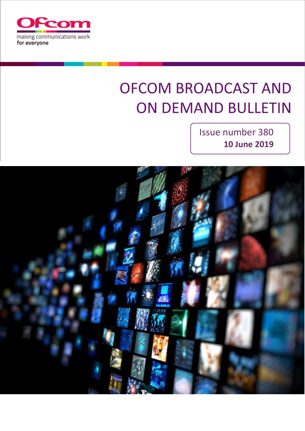

# **OFCOM BROADCAST AND ON DEMAND BULLETIN**

Issue number 380 **10 June 2019**

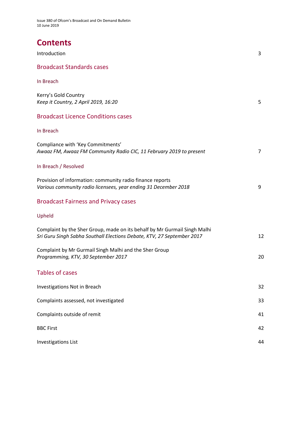Issue 380 of Ofcom's Broadcast and On Demand Bulletin 10 June 2019

# **Contents**

| Introduction                                                                                                                                        | 3  |
|-----------------------------------------------------------------------------------------------------------------------------------------------------|----|
| <b>Broadcast Standards cases</b>                                                                                                                    |    |
| In Breach                                                                                                                                           |    |
| Kerry's Gold Country<br>Keep it Country, 2 April 2019, 16:20                                                                                        | 5  |
| <b>Broadcast Licence Conditions cases</b>                                                                                                           |    |
| In Breach                                                                                                                                           |    |
| Compliance with 'Key Commitments'<br>Awaaz FM, Awaaz FM Community Radio CIC, 11 February 2019 to present                                            | 7  |
| In Breach / Resolved                                                                                                                                |    |
| Provision of information: community radio finance reports<br>Various community radio licensees, year ending 31 December 2018                        | 9  |
| <b>Broadcast Fairness and Privacy cases</b>                                                                                                         |    |
| Upheld                                                                                                                                              |    |
| Complaint by the Sher Group, made on its behalf by Mr Gurmail Singh Malhi<br>Sri Guru Singh Sabha Southall Elections Debate, KTV, 27 September 2017 | 12 |
| Complaint by Mr Gurmail Singh Malhi and the Sher Group<br>Programming, KTV, 30 September 2017                                                       | 20 |
| <b>Tables of cases</b>                                                                                                                              |    |
| <b>Investigations Not in Breach</b>                                                                                                                 | 32 |
| Complaints assessed, not investigated                                                                                                               | 33 |
| Complaints outside of remit                                                                                                                         | 41 |
| <b>BBC First</b>                                                                                                                                    | 42 |
| <b>Investigations List</b>                                                                                                                          | 44 |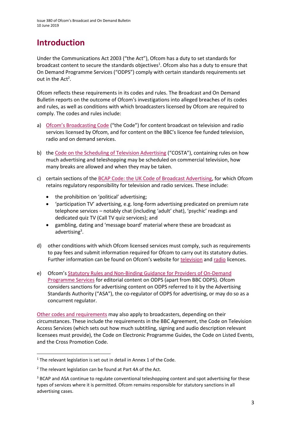# **Introduction**

Under the Communications Act 2003 ("the Act"), Ofcom has a duty to set standards for broadcast content to secure the standards objectives<sup>1</sup>. Ofcom also has a duty to ensure that On Demand Programme Services ("ODPS") comply with certain standards requirements set out in the  $Act^2$ .

Ofcom reflects these requirements in its codes and rules. The Broadcast and On Demand Bulletin reports on the outcome of Ofcom's investigations into alleged breaches of its codes and rules, as well as conditions with which broadcasters licensed by Ofcom are required to comply. The codes and rules include:

- a) [Ofcom's Broadcasting Code](http://stakeholders.ofcom.org.uk/broadcasting/broadcast-codes/broadcast-code/) ("the Code") for content broadcast on television and radio services licensed by Ofcom, and for content on the BBC's licence fee funded television, radio and on demand services.
- b) the [Code on the Scheduling of Television Advertising](https://www.ofcom.org.uk/__data/assets/pdf_file/0014/32162/costa-april-2016.pdf) ("COSTA"), containing rules on how much advertising and teleshopping may be scheduled on commercial television, how many breaks are allowed and when they may be taken.
- c) certain sections of th[e BCAP Code: the UK Code of Broadcast Advertising,](https://www.asa.org.uk/codes-and-rulings/advertising-codes/broadcast-code.html) for which Ofcom retains regulatory responsibility for television and radio services. These include:
	- the prohibition on 'political' advertising;
	- 'participation TV' advertising, e.g. long-form advertising predicated on premium rate telephone services – notably chat (including 'adult' chat), 'psychic' readings and dedicated quiz TV (Call TV quiz services); and
	- gambling, dating and 'message board' material where these are broadcast as advertising<sup>3</sup>.
- d) other conditions with which Ofcom licensed services must comply, such as requirements to pay fees and submit information required for Ofcom to carry out its statutory duties. Further information can be found on Ofcom's website for [television](http://licensing.ofcom.org.uk/tv-broadcast-licences/) and [radio](http://licensing.ofcom.org.uk/radio-broadcast-licensing/) licences.
- e) Ofcom's [Statutory Rules and Non-Binding Guidance for Providers of On-Demand](http://stakeholders.ofcom.org.uk/binaries/broadcast/on-demand/rules-guidance/rules_and_guidance.pdf)  [Programme Services](http://stakeholders.ofcom.org.uk/binaries/broadcast/on-demand/rules-guidance/rules_and_guidance.pdf) for editorial content on ODPS (apart from BBC ODPS). Ofcom considers sanctions for advertising content on ODPS referred to it by the Advertising Standards Authority ("ASA"), the co-regulator of ODPS for advertising, or may do so as a concurrent regulator.

[Other codes and requirements](http://stakeholders.ofcom.org.uk/broadcasting/broadcast-codes/) may also apply to broadcasters, depending on their circumstances. These include the requirements in the BBC Agreement, the Code on Television Access Services (which sets out how much subtitling, signing and audio description relevant licensees must provide), the Code on Electronic Programme Guides, the Code on Listed Events, and the Cross Promotion Code.

**.** 

<sup>&</sup>lt;sup>1</sup> The relevant legislation is set out in detail in Annex 1 of the Code.

<sup>&</sup>lt;sup>2</sup> The relevant legislation can be found at Part 4A of the Act.

<sup>&</sup>lt;sup>3</sup> BCAP and ASA continue to regulate conventional teleshopping content and spot advertising for these types of services where it is permitted. Ofcom remains responsible for statutory sanctions in all advertising cases.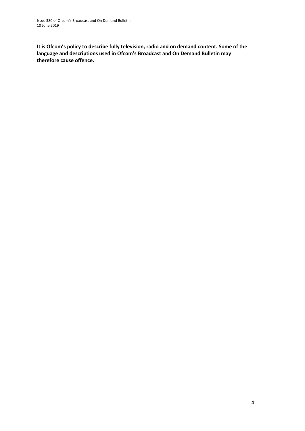**It is Ofcom's policy to describe fully television, radio and on demand content. Some of the language and descriptions used in Ofcom's Broadcast and On Demand Bulletin may therefore cause offence.**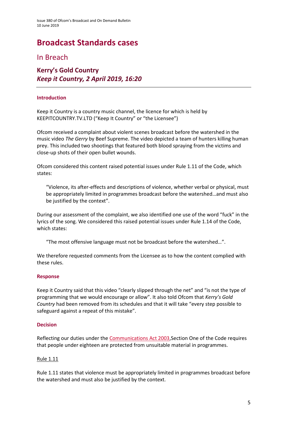# **Broadcast Standards cases**

### In Breach

### **Kerry's Gold Country** *Keep it Country, 2 April 2019, 16:20*

#### **Introduction**

Keep it Country is a country music channel, the licence for which is held by KEEPITCOUNTRY.TV.LTD ("Keep It Country" or "the Licensee")

Ofcom received a complaint about violent scenes broadcast before the watershed in the music video *The Gerry* by Beef Supreme. The video depicted a team of hunters killing human prey. This included two shootings that featured both blood spraying from the victims and close-up shots of their open bullet wounds.

Ofcom considered this content raised potential issues under Rule 1.11 of the Code, which states:

"Violence, its after-effects and descriptions of violence, whether verbal or physical, must be appropriately limited in programmes broadcast before the watershed…and must also be justified by the context".

During our assessment of the complaint, we also identified one use of the word "fuck" in the lyrics of the song. We considered this raised potential issues under Rule 1.14 of the Code, which states:

"The most offensive language must not be broadcast before the watershed…".

We therefore requested comments from the Licensee as to how the content complied with these rules.

#### **Response**

Keep it Country said that this video "clearly slipped through the net" and "is not the type of programming that we would encourage or allow". It also told Ofcom that *Kerry's Gold Country* had been removed from its schedules and that it will take "every step possible to safeguard against a repeat of this mistake".

#### **Decision**

Reflecting our duties under th[e Communications Act 2003,](http://www.legislation.gov.uk/ukpga/2003/21/section/319)Section One of the Code requires that people under eighteen are protected from unsuitable material in programmes.

#### Rule 1.11

Rule 1.11 states that violence must be appropriately limited in programmes broadcast before the watershed and must also be justified by the context.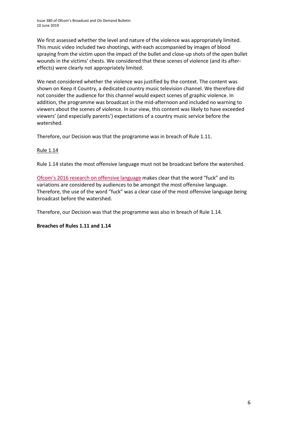We first assessed whether the level and nature of the violence was appropriately limited. This music video included two shootings, with each accompanied by images of blood spraying from the victim upon the impact of the bullet and close-up shots of the open bullet wounds in the victims' chests. We considered that these scenes of violence (and its aftereffects) were clearly not appropriately limited.

We next considered whether the violence was justified by the context. The content was shown on Keep it Country, a dedicated country music television channel. We therefore did not consider the audience for this channel would expect scenes of graphic violence. In addition, the programme was broadcast in the mid-afternoon and included no warning to viewers about the scenes of violence. In our view, this content was likely to have exceeded viewers' (and especially parents') expectations of a country music service before the watershed.

Therefore, our Decision was that the programme was in breach of Rule 1.11.

#### Rule 1.14

Rule 1.14 states the most offensive language must not be broadcast before the watershed.

[Ofcom's 2016 research on offe](https://www.ofcom.org.uk/__data/assets/pdf_file/0022/91624/OfcomOffensiveLanguage.pdf)nsive language makes clear that the word "fuck" and its variations are considered by audiences to be amongst the most offensive language. Therefore, the use of the word "fuck" was a clear case of the most offensive language being broadcast before the watershed.

Therefore, our Decision was that the programme was also in breach of Rule 1.14.

#### **Breaches of Rules 1.11 and 1.14**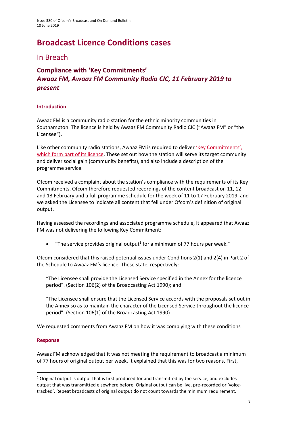# **Broadcast Licence Conditions cases**

### In Breach

**Compliance with 'Key Commitments'** *Awaaz FM, Awaaz FM Community Radio CIC, 11 February 2019 to present*

#### **Introduction**

Awaaz FM is a community radio station for the ethnic minority communities in Southampton. The licence is held by Awaaz FM Community Radio CIC ("Awaaz FM" or "the Licensee").

Like other community radio stations, Awaaz FM is required to deliver ['Key Commitments',](http://static.ofcom.org.uk/static/radiolicensing/Community/commitments/cr101276.pdf)  [which form part of its licence.](http://static.ofcom.org.uk/static/radiolicensing/Community/commitments/cr101276.pdf) These set out how the station will serve its target community and deliver social gain (community benefits), and also include a description of the programme service.

Ofcom received a complaint about the station's compliance with the requirements of its Key Commitments. Ofcom therefore requested recordings of the content broadcast on 11, 12 and 13 February and a full programme schedule for the week of 11 to 17 February 2019, and we asked the Licensee to indicate all content that fell under Ofcom's definition of original output.

Having assessed the recordings and associated programme schedule, it appeared that Awaaz FM was not delivering the following Key Commitment:

• "The service provides original output<sup>1</sup> for a minimum of 77 hours per week."

Ofcom considered that this raised potential issues under Conditions 2(1) and 2(4) in Part 2 of the Schedule to Awaaz FM's licence. These state, respectively:

"The Licensee shall provide the Licensed Service specified in the Annex for the licence period". (Section 106(2) of the Broadcasting Act 1990); and

"The Licensee shall ensure that the Licensed Service accords with the proposals set out in the Annex so as to maintain the character of the Licensed Service throughout the licence period". (Section 106(1) of the Broadcasting Act 1990)

We requested comments from Awaaz FM on how it was complying with these conditions

#### **Response**

**.** 

Awaaz FM acknowledged that it was not meeting the requirement to broadcast a minimum of 77 hours of original output per week. It explained that this was for two reasons. First,

 $1$  Original output is output that is first produced for and transmitted by the service, and excludes output that was transmitted elsewhere before. Original output can be live, pre-recorded or 'voicetracked'. Repeat broadcasts of original output do not count towards the minimum requirement.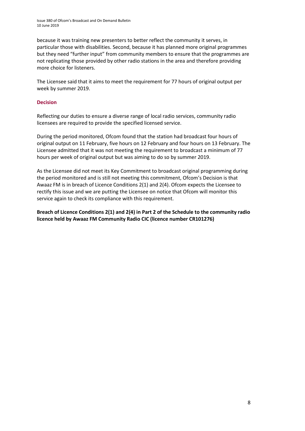because it was training new presenters to better reflect the community it serves, in particular those with disabilities. Second, because it has planned more original programmes but they need "further input" from community members to ensure that the programmes are not replicating those provided by other radio stations in the area and therefore providing more choice for listeners.

The Licensee said that it aims to meet the requirement for 77 hours of original output per week by summer 2019.

#### **Decision**

Reflecting our duties to ensure a diverse range of local radio services, community radio licensees are required to provide the specified licensed service.

During the period monitored, Ofcom found that the station had broadcast four hours of original output on 11 February, five hours on 12 February and four hours on 13 February. The Licensee admitted that it was not meeting the requirement to broadcast a minimum of 77 hours per week of original output but was aiming to do so by summer 2019.

As the Licensee did not meet its Key Commitment to broadcast original programming during the period monitored and is still not meeting this commitment, Ofcom's Decision is that Awaaz FM is in breach of Licence Conditions 2(1) and 2(4). Ofcom expects the Licensee to rectify this issue and we are putting the Licensee on notice that Ofcom will monitor this service again to check its compliance with this requirement.

**Breach of Licence Conditions 2(1) and 2(4) in Part 2 of the Schedule to the community radio licence held by Awaaz FM Community Radio CIC (licence number CR101276)**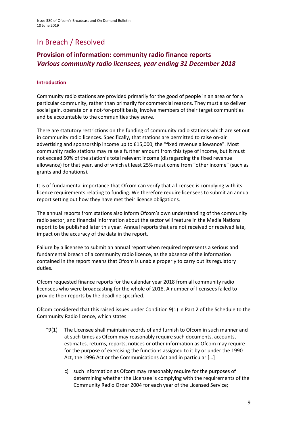### In Breach / Resolved

### **Provision of information: community radio finance reports**  *Various community radio licensees, year ending 31 December 2018*

#### **Introduction**

Community radio stations are provided primarily for the good of people in an area or for a particular community, rather than primarily for commercial reasons. They must also deliver social gain, operate on a not-for-profit basis, involve members of their target communities and be accountable to the communities they serve.

There are statutory restrictions on the funding of community radio stations which are set out in community radio licences. Specifically, that stations are permitted to raise on-air advertising and sponsorship income up to £15,000, the "fixed revenue allowance". Most community radio stations may raise a further amount from this type of income, but it must not exceed 50% of the station's total relevant income (disregarding the fixed revenue allowance) for that year, and of which at least 25% must come from "other income" (such as grants and donations).

It is of fundamental importance that Ofcom can verify that a licensee is complying with its licence requirements relating to funding. We therefore require licensees to submit an annual report setting out how they have met their licence obligations.

The annual reports from stations also inform Ofcom's own understanding of the community radio sector, and financial information about the sector will feature in the Media Nations report to be published later this year. Annual reports that are not received or received late, impact on the accuracy of the data in the report.

Failure by a licensee to submit an annual report when required represents a serious and fundamental breach of a community radio licence, as the absence of the information contained in the report means that Ofcom is unable properly to carry out its regulatory duties.

Ofcom requested finance reports for the calendar year 2018 from all community radio licensees who were broadcasting for the whole of 2018. A number of licensees failed to provide their reports by the deadline specified.

Ofcom considered that this raised issues under Condition 9(1) in Part 2 of the Schedule to the Community Radio licence, which states:

- " $9(1)$  The Licensee shall maintain records of and furnish to Ofcom in such manner and at such times as Ofcom may reasonably require such documents, accounts, estimates, returns, reports, notices or other information as Ofcom may require for the purpose of exercising the functions assigned to it by or under the 1990 Act, the 1996 Act or the Communications Act and in particular […]
	- c) such information as Ofcom may reasonably require for the purposes of determining whether the Licensee is complying with the requirements of the Community Radio Order 2004 for each year of the Licensed Service;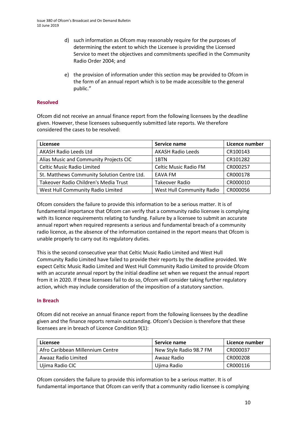- d) such information as Ofcom may reasonably require for the purposes of determining the extent to which the Licensee is providing the Licensed Service to meet the objectives and commitments specified in the Community Radio Order 2004; and
- e) the provision of information under this section may be provided to Ofcom in the form of an annual report which is to be made accessible to the general public."

#### **Resolved**

Ofcom did not receive an annual finance report from the following licensees by the deadline given. However, these licensees subsequently submitted late reports. We therefore considered the cases to be resolved:

| Licensee                                    | Service name              | Licence number |
|---------------------------------------------|---------------------------|----------------|
| <b>AKASH Radio Leeds Ltd</b>                | <b>AKASH Radio Leeds</b>  | CR100143       |
| Alias Music and Community Projects CIC      | 1BTN                      | CR101282       |
| <b>Celtic Music Radio Limited</b>           | Celtic Music Radio FM     | CR000257       |
| St. Matthews Community Solution Centre Ltd. | EAVA FM                   | CR000178       |
| Takeover Radio Children's Media Trust       | Takeover Radio            | CR000010       |
| West Hull Community Radio Limited           | West Hull Community Radio | CR000056       |

Ofcom considers the failure to provide this information to be a serious matter. It is of fundamental importance that Ofcom can verify that a community radio licensee is complying with its licence requirements relating to funding. Failure by a licensee to submit an accurate annual report when required represents a serious and fundamental breach of a community radio licence, as the absence of the information contained in the report means that Ofcom is unable properly to carry out its regulatory duties.

This is the second consecutive year that Celtic Music Radio Limited and West Hull Community Radio Limited have failed to provide their reports by the deadline provided. We expect Celtic Music Radio Limited and West Hull Community Radio Limited to provide Ofcom with an accurate annual report by the initial deadline set when we request the annual report from it in 2020. If these licensees fail to do so, Ofcom will consider taking further regulatory action, which may include consideration of the imposition of a statutory sanction.

#### **In Breach**

Ofcom did not receive an annual finance report from the following licensees by the deadline given and the finance reports remain outstanding. Ofcom's Decision is therefore that these licensees are in breach of Licence Condition 9(1):

| Licensee                         | Service name            | Licence number |  |
|----------------------------------|-------------------------|----------------|--|
| Afro Caribbean Millennium Centre | New Style Radio 98.7 FM | CR000037       |  |
| Awaaz Radio Limited              | Awaaz Radio             | CR000208       |  |
| Ujima Radio CIC                  | Ujima Radio             | CR000116       |  |

Ofcom considers the failure to provide this information to be a serious matter. It is of fundamental importance that Ofcom can verify that a community radio licensee is complying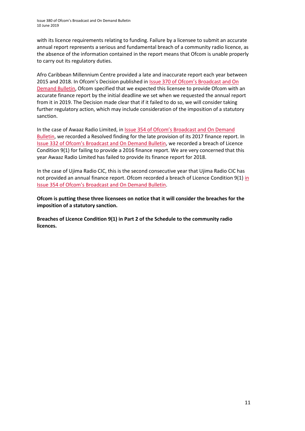with its licence requirements relating to funding. Failure by a licensee to submit an accurate annual report represents a serious and fundamental breach of a community radio licence, as the absence of the information contained in the report means that Ofcom is unable properly to carry out its regulatory duties.

Afro Caribbean Millennium Centre provided a late and inaccurate report each year between 2015 and 2018. In Ofcom's Decision published i[n Issue 370 of Ofcom's Broadcast and On](https://www.ofcom.org.uk/__data/assets/pdf_file/0024/133188/Issue-370-of-Ofcoms-Broadcast-and-On-Demand-Bulletin.pdf)  [Demand Bulletin,](https://www.ofcom.org.uk/__data/assets/pdf_file/0024/133188/Issue-370-of-Ofcoms-Broadcast-and-On-Demand-Bulletin.pdf) Ofcom specified that we expected this licensee to provide Ofcom with an accurate finance report by the initial deadline we set when we requested the annual report from it in 2019. The Decision made clear that if it failed to do so, we will consider taking further regulatory action, which may include consideration of the imposition of a statutory sanction.

In the case of Awaaz Radio Limited, in Issue 354 of Ofcom's [Broadcast and On Demand](https://www.ofcom.org.uk/__data/assets/pdf_file/0011/114104/issue-354-broadcast-on-demand-bulletin.pdf)  [Bulletin,](https://www.ofcom.org.uk/__data/assets/pdf_file/0011/114104/issue-354-broadcast-on-demand-bulletin.pdf) we recorded a Resolved finding for the late provision of its 2017 finance report. In Issue 332 of [Ofcom's Broadcast and On Demand Bulletin](https://www.ofcom.org.uk/__data/assets/pdf_file/0020/103709/issue-332-ofcom-broadcast-on-demand-bulletin.pdf), we recorded a breach of Licence Condition 9(1) for failing to provide a 2016 finance report. We are very concerned that this year Awaaz Radio Limited has failed to provide its finance report for 2018.

In the case of Ujima Radio CIC, this is the second consecutive year that Ujima Radio CIC has not provided an annual finance report. Ofcom recorded a breach of Licence Condition 9(1[\) in](https://www.ofcom.org.uk/__data/assets/pdf_file/0011/114104/issue-354-broadcast-on-demand-bulletin.pdf)  [Issue 354 of Ofcom's Broadcast and On Demand Bulletin](https://www.ofcom.org.uk/__data/assets/pdf_file/0011/114104/issue-354-broadcast-on-demand-bulletin.pdf).

**Ofcom is putting these three licensees on notice that it will consider the breaches for the imposition of a statutory sanction.**

**Breaches of Licence Condition 9(1) in Part 2 of the Schedule to the community radio licences.**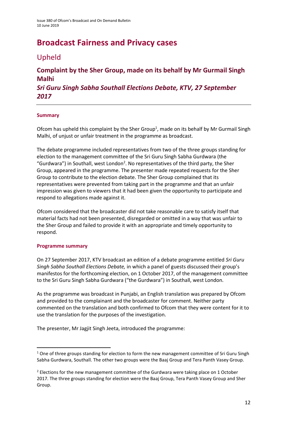# **Broadcast Fairness and Privacy cases**

### Upheld

**Complaint by the Sher Group, made on its behalf by Mr Gurmail Singh Malhi**

*Sri Guru Singh Sabha Southall Elections Debate, KTV, 27 September 2017*

#### **Summary**

Ofcom has upheld this complaint by the Sher Group<sup>1</sup>, made on its behalf by Mr Gurmail Singh Malhi, of unjust or unfair treatment in the programme as broadcast.

The debate programme included representatives from two of the three groups standing for election to the management committee of the Sri Guru Singh Sabha Gurdwara (the "Gurdwara") in Southall, west London<sup>2</sup>. No representatives of the third party, the Sher Group, appeared in the programme. The presenter made repeated requests for the Sher Group to contribute to the election debate. The Sher Group complained that its representatives were prevented from taking part in the programme and that an unfair impression was given to viewers that it had been given the opportunity to participate and respond to allegations made against it.

Ofcom considered that the broadcaster did not take reasonable care to satisfy itself that material facts had not been presented, disregarded or omitted in a way that was unfair to the Sher Group and failed to provide it with an appropriate and timely opportunity to respond.

#### **Programme summary**

**.** 

On 27 September 2017, KTV broadcast an edition of a debate programme entitled *Sri Guru Singh Sabha Southall Elections Debate,* in which a panel of guests discussed their group's manifestos for the forthcoming election, on 1 October 2017, of the management committee to the Sri Guru Singh Sabha Gurdwara ("the Gurdwara") in Southall, west London.

As the programme was broadcast in Punjabi, an English translation was prepared by Ofcom and provided to the complainant and the broadcaster for comment. Neither party commented on the translation and both confirmed to Ofcom that they were content for it to use the translation for the purposes of the investigation.

The presenter, Mr Jagjit Singh Jeeta, introduced the programme:

 $<sup>1</sup>$  One of three groups standing for election to form the new management committee of Sri Guru Singh</sup> Sabha Gurdwara, Southall. The other two groups were the Baaj Group and Tera Panth Vasey Group.

<sup>&</sup>lt;sup>2</sup> Elections for the new management committee of the Gurdwara were taking place on 1 October 2017. The three groups standing for election were the Baaj Group, Tera Panth Vasey Group and Sher Group.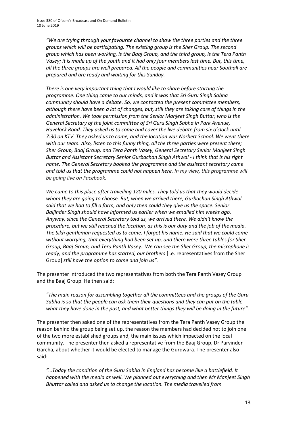*"We are trying through your favourite channel to show the three parties and the three groups which will be participating. The existing group is the Sher Group. The second group which has been working, is the Baaj Group, and the third group, is the Tera Panth Vasey; it is made up of the youth and it had only four members last time. But, this time, all the three groups are well prepared. All the people and communities near Southall are prepared and are ready and waiting for this Sunday.* 

*There is one very important thing that I would like to share before starting the programme. One thing came to our minds, and it was that Sri Guru Singh Sabha community should have a debate. So, we contacted the present committee members, although there have been a lot of changes, but, still they are taking care of things in the administration. We took permission from the Senior Manjeet Singh Buttar, who is the General Secretary of the joint committee of Sri Guru Singh Sabha in Park Avenue, Havelock Road. They asked us to come and cover the live debate from six o'clock until 7:30 on KTV. They asked us to come, and the location was Norbert School. We went there with our team. Also, listen to this funny thing, all the three parties were present there; Sher Group, Baaj Group, and Tera Panth Vasey, General Secretary Senior Manjeet Singh Buttar and Assistant Secretary Senior Gurbachan Singh Athwal - I think that is his right name. The General Secretary booked the programme and the assistant secretary came and told us that the programme could not happen here. In my view, this programme will be going live on Facebook.* 

*We came to this place after travelling 120 miles. They told us that they would decide whom they are going to choose. But, when we arrived there, Gurbachan Singh Athwal said that we had to fill a form, and only then could they give us the space. Senior Baljinder Singh should have informed us earlier when we emailed him weeks ago. Anyway, since the General Secretary told us, we arrived there. We didn't know the procedure, but we still reached the location, as this is our duty and the job of the media. The Sikh gentleman requested us to come. I forget his name. He said that we could come without worrying, that everything had been set up, and there were three tables for Sher Group, Baaj Group, and Tera Panth Vasey…We can see the Sher Group, the microphone is ready, and the programme has started, our brothers* [i.e. representatives from the Sher Group] *still have the option to come and join us".*

The presenter introduced the two representatives from both the Tera Panth Vasey Group and the Baaj Group. He then said:

*"The main reason for assembling together all the committees and the groups of the Guru Sabha is so that the people can ask them their questions and they can put on the table what they have done in the past, and what better things they will be doing in the future".*

The presenter then asked one of the representatives from the Tera Panth Vasey Group the reason behind the group being set up, the reason the members had decided not to join one of the two more established groups and, the main issues which impacted on the local community. The presenter then asked a representative from the Baaj Group, Dr Parvinder Garcha, about whether it would be elected to manage the Gurdwara. The presenter also said:

*"…Today the condition of the Guru Sabha in England has become like a battlefield. It happened with the media as well. We planned out everything and then Mr Manjeet Singh Bhuttar called and asked us to change the location. The media travelled from*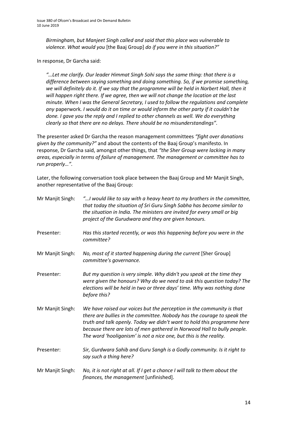*Birmingham, but Manjeet Singh called and said that this place was vulnerable to violence. What would you* [the Baaj Group] *do if you were in this situation?"*

#### In response, Dr Garcha said:

*"…Let me clarify. Our leader Himmat Singh Sohi says the same thing: that there is a difference between saying something and doing something. So, if we promise something, we will definitely do it. If we say that the programme will be held in Norbert Hall, then it will happen right there. If we agree, then we will not change the location at the last minute. When I was the General Secretary, I used to follow the regulations and complete any* paperwork*. I would do it on time or would inform the other party if it couldn't be done. I gave you the reply and I replied to other channels as well. We do everything clearly so that there are no delays. There should be no misunderstandings".*

The presenter asked Dr Garcha the reason management committees *"fight over donations given by the community?"* and about the contents of the Baaj Group's manifesto. In response, Dr Garcha said, amongst other things, that *"the Sher Group were lacking in many areas, especially in terms of failure of management. The management or committee has to run properly…".*

Later, the following conversation took place between the Baaj Group and Mr Manjit Singh, another representative of the Baaj Group:

| Mr Manjit Singh: | "I would like to say with a heavy heart to my brothers in the committee,<br>that today the situation of Sri Guru Singh Sabha has become similar to<br>the situation in India. The ministers are invited for every small or big<br>project of the Gurudwara and they are given honours.                                                                                       |
|------------------|------------------------------------------------------------------------------------------------------------------------------------------------------------------------------------------------------------------------------------------------------------------------------------------------------------------------------------------------------------------------------|
| Presenter:       | Has this started recently, or was this happening before you were in the<br>committee?                                                                                                                                                                                                                                                                                        |
| Mr Manjit Singh: | No, most of it started happening during the current [Sher Group]<br>committee's governance.                                                                                                                                                                                                                                                                                  |
| Presenter:       | But my question is very simple. Why didn't you speak at the time they<br>were given the honours? Why do we need to ask this question today? The<br>elections will be held in two or three days' time. Why was nothing done<br>before this?                                                                                                                                   |
| Mr Manjit Singh: | We have raised our voices but the perception in the community is that<br>there are bullies in the committee. Nobody has the courage to speak the<br>truth and talk openly. Today we didn't want to hold this programme here<br>because there are lots of men gathered in Norwood Hall to bully people.<br>The word 'hooliganism' is not a nice one, but this is the reality. |
| Presenter:       | Sir, Gurdwara Sahib and Guru Sangh is a Godly community. Is it right to<br>say such a thing here?                                                                                                                                                                                                                                                                            |
| Mr Manjit Singh: | No, it is not right at all. If I get a chance I will talk to them about the<br>finances, the management [unfinished].                                                                                                                                                                                                                                                        |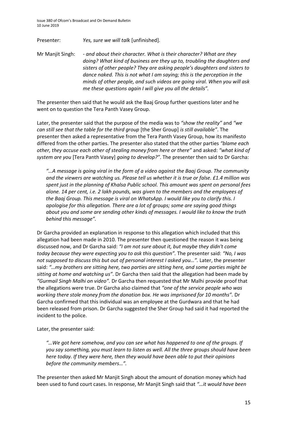Issue 380 of Ofcom's Broadcast and On Demand Bulletin 10 June 2019

Presenter: *Yes, sure we will talk* [unfinished].

Mr Manjit Singh: *- and about their character. What is their character? What are they doing? What kind of business are they up to, troubling the daughters and sisters of other people? They are asking people's daughters and sisters to dance naked. This is not what I am saying; this is the perception in the minds of other people, and such videos are going viral. When you will ask me these questions again I will give you all the details".*

The presenter then said that he would ask the Baaj Group further questions later and he went on to question the Tera Panth Vasey Group.

Later, the presenter said that the purpose of the media was to *"show the reality"* and *"we can still see that the table for the third group* [the Sher Group] *is still available"*. The presenter then asked a representative from the Tera Panth Vasey Group, how its manifesto differed from the other parties. The presenter also stated that the other parties *"blame each other, they accuse each other of stealing money from here or there"* and asked: *"what kind of system are you* [Tera Panth Vasey] *going to develop?"*. The presenter then said to Dr Garcha:

*"…A message is going viral in the form of a video against the Baaj Group. The community and the viewers are watching us. Please tell us whether it is true or false. £1.4 million was spent just in the planning of Khalsa Public school. This amount was spent on personal fees alone. 14 per cent, i.e. 2 lakh pounds, was given to the members and the employees of the Baaj Group. This message is viral on WhatsApp. I would like you to clarify this. I apologise for this allegation. There are a lot of groups; some are saying good things about you and some are sending other kinds of messages. I would like to know the truth behind this message".*

Dr Garcha provided an explanation in response to this allegation which included that this allegation had been made in 2010. The presenter then questioned the reason it was being discussed now, and Dr Garcha said: *"I am not sure about it, but maybe they didn't come today because they were expecting you to ask this question".* The presenter said: *"No, I was*  not supposed to discuss this but out of personal interest I asked you...". Later, the presenter said: *"…my brothers are sitting here, two parties are sitting here, and some parties might be sitting at home and watching us".* Dr Garcha then said that the allegation had been made by *"Gurmail Singh Malhi on video".* Dr Garcha then requested that Mr Malhi provide proof that the allegations were true. Dr Garcha also claimed that *"one of the service people who was working there stole money from the donation box. He was imprisoned for 10 months".* Dr Garcha confirmed that this individual was an employee at the Gurdwara and that he had been released from prison. Dr Garcha suggested the Sher Group had said it had reported the incident to the police.

Later, the presenter said:

*"…We got here somehow, and you can see what has happened to one of the groups. If you say something, you must learn to listen as well. All the three groups should have been here today. If they were here, then they would have been able to put their opinions before the community members…".*

The presenter then asked Mr Manjit Singh about the amount of donation money which had been used to fund court cases. In response, Mr Manjit Singh said that *"…it would have been*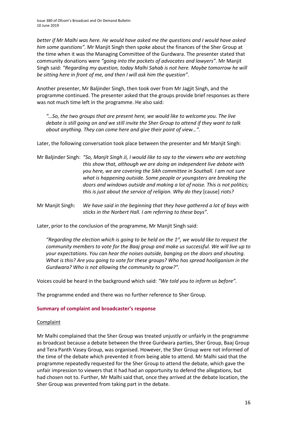Issue 380 of Ofcom's Broadcast and On Demand Bulletin 10 June 2019

*better if Mr Malhi was here. He would have asked me the questions and I would have asked him some questions".* Mr Manjit Singh then spoke about the finances of the Sher Group at the time when it was the Managing Committee of the Gurdwara. The presenter stated that community donations were *"going into the pockets of advocates and lawyers".* Mr Manjit Singh said: *"Regarding my question, today Malhi Sahab is not here. Maybe tomorrow he will be sitting here in front of me, and then I will ask him the question".*

Another presenter, Mr Baljinder Singh, then took over from Mr Jagjit Singh, and the programme continued. The presenter asked that the groups provide brief responses as there was not much time left in the programme. He also said:

*"…So, the two groups that are present here, we would like to welcome you. The live debate is still going on and we still invite the Sher Group to attend if they want to talk about anything. They can come here and give their point of view…".*

Later, the following conversation took place between the presenter and Mr Manjit Singh:

- Mr Baljinder Singh: *"So, Manjit Singh Ji, I would like to say to the viewers who are watching this show that, although we are doing an independent live debate with you here, we are covering the Sikh committee in Southall. I am not sure what is happening outside. Some people or youngsters are breaking the doors and windows outside and making a lot of noise. This is not politics; this is just about the service of religion. Why do they* [cause] *riots?*
- Mr Manjit Singh: *We have said in the beginning that they have gathered a lot of boys with sticks in the Norbert Hall. I am referring to these boys".*

Later, prior to the conclusion of the programme, Mr Manjit Singh said:

*"Regarding the election which is going to be held on the 1st, we would like to request the community members to vote for the Baaj group and make us successful. We will live up to your expectations. You can hear the noises outside, banging on the doors and shouting. What is this? Are you going to vote for these groups? Who has spread hooliganism in the Gurdwara? Who is not allowing the community to grow?".* 

Voices could be heard in the background which said: *"We told you to inform us before".*

The programme ended and there was no further reference to Sher Group.

#### **Summary of complaint and broadcaster's response**

#### Complaint

Mr Malhi complained that the Sher Group was treated unjustly or unfairly in the programme as broadcast because a debate between the three Gurdwara parties, Sher Group, Baaj Group and Tera Panth Vasey Group, was organised. However, the Sher Group were not informed of the time of the debate which prevented it from being able to attend. Mr Malhi said that the programme repeatedly requested for the Sher Group to attend the debate, which gave the unfair impression to viewers that it had had an opportunity to defend the allegations, but had chosen not to. Further, Mr Malhi said that, once they arrived at the debate location, the Sher Group was prevented from taking part in the debate.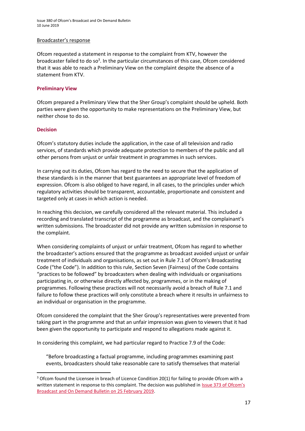#### Broadcaster's response

Ofcom requested a statement in response to the complaint from KTV, however the broadcaster failed to do so<sup>3</sup>. In the particular circumstances of this case, Ofcom considered that it was able to reach a Preliminary View on the complaint despite the absence of a statement from KTV.

#### **Preliminary View**

Ofcom prepared a Preliminary View that the Sher Group's complaint should be upheld. Both parties were given the opportunity to make representations on the Preliminary View, but neither chose to do so.

#### **Decision**

**.** 

Ofcom's statutory duties include the application, in the case of all television and radio services, of standards which provide adequate protection to members of the public and all other persons from unjust or unfair treatment in programmes in such services.

In carrying out its duties, Ofcom has regard to the need to secure that the application of these standards is in the manner that best guarantees an appropriate level of freedom of expression. Ofcom is also obliged to have regard, in all cases, to the principles under which regulatory activities should be transparent, accountable, proportionate and consistent and targeted only at cases in which action is needed.

In reaching this decision, we carefully considered all the relevant material. This included a recording and translated transcript of the programme as broadcast, and the complainant's written submissions. The broadcaster did not provide any written submission in response to the complaint.

When considering complaints of unjust or unfair treatment, Ofcom has regard to whether the broadcaster's actions ensured that the programme as broadcast avoided unjust or unfair treatment of individuals and organisations, as set out in Rule 7.1 of Ofcom's Broadcasting Code ("the Code"). In addition to this rule, Section Seven (Fairness) of the Code contains "practices to be followed" by broadcasters when dealing with individuals or organisations participating in, or otherwise directly affected by, programmes, or in the making of programmes. Following these practices will not necessarily avoid a breach of Rule 7.1 and failure to follow these practices will only constitute a breach where it results in unfairness to an individual or organisation in the programme.

Ofcom considered the complaint that the Sher Group's representatives were prevented from taking part in the programme and that an unfair impression was given to viewers that it had been given the opportunity to participate and respond to allegations made against it.

In considering this complaint, we had particular regard to Practice 7.9 of the Code:

"Before broadcasting a factual programme, including programmes examining past events, broadcasters should take reasonable care to satisfy themselves that material

<sup>&</sup>lt;sup>3</sup> Ofcom found the Licensee in breach of Licence Condition 20(1) for failing to provide Ofcom with a written statement in response to this complaint. The decision was published in [Issue 373 of Ofcom's](https://www.ofcom.org.uk/__data/assets/pdf_file/0030/138648/Issue-373-Broadcast-and-On-Demand-Bulletin-25-February-2019.pdf)  [Broadcast and On Demand Bulletin on 25 February 2019.](https://www.ofcom.org.uk/__data/assets/pdf_file/0030/138648/Issue-373-Broadcast-and-On-Demand-Bulletin-25-February-2019.pdf)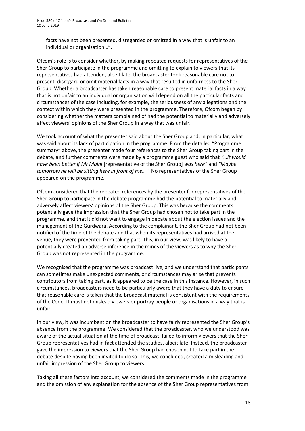facts have not been presented, disregarded or omitted in a way that is unfair to an individual or organisation…".

Ofcom's role is to consider whether, by making repeated requests for representatives of the Sher Group to participate in the programme and omitting to explain to viewers that its representatives had attended, albeit late, the broadcaster took reasonable care not to present, disregard or omit material facts in a way that resulted in unfairness to the Sher Group. Whether a broadcaster has taken reasonable care to present material facts in a way that is not unfair to an individual or organisation will depend on all the particular facts and circumstances of the case including, for example, the seriousness of any allegations and the context within which they were presented in the programme. Therefore, Ofcom began by considering whether the matters complained of had the potential to materially and adversely affect viewers' opinions of the Sher Group in a way that was unfair.

We took account of what the presenter said about the Sher Group and, in particular, what was said about its lack of participation in the programme. From the detailed "Programme summary" above, the presenter made four references to the Sher Group taking part in the debate, and further comments were made by a programme guest who said that *"…it would have been better if Mr Malhi* [representative of the Sher Group] *was here"* and *"Maybe tomorrow he will be sitting here in front of me…"*. No representatives of the Sher Group appeared on the programme.

Ofcom considered that the repeated references by the presenter for representatives of the Sher Group to participate in the debate programme had the potential to materially and adversely affect viewers' opinions of the Sher Group. This was because the comments potentially gave the impression that the Sher Group had chosen not to take part in the programme, and that it did not want to engage in debate about the election issues and the management of the Gurdwara. According to the complainant, the Sher Group had not been notified of the time of the debate and that when its representatives had arrived at the venue, they were prevented from taking part. This, in our view, was likely to have a potentially created an adverse inference in the minds of the viewers as to why the Sher Group was not represented in the programme.

We recognised that the programme was broadcast live, and we understand that participants can sometimes make unexpected comments, or circumstances may arise that prevents contributors from taking part, as it appeared to be the case in this instance. However, in such circumstances, broadcasters need to be particularly aware that they have a duty to ensure that reasonable care is taken that the broadcast material is consistent with the requirements of the Code. It must not mislead viewers or portray people or organisations in a way that is unfair.

In our view, it was incumbent on the broadcaster to have fairly represented the Sher Group's absence from the programme. We considered that the broadcaster, who we understood was aware of the actual situation at the time of broadcast, failed to inform viewers that the Sher Group representatives had in fact attended the studios, albeit late. Instead, the broadcaster gave the impression to viewers that the Sher Group had chosen not to take part in the debate despite having been invited to do so. This, we concluded, created a misleading and unfair impression of the Sher Group to viewers.

Taking all these factors into account, we considered the comments made in the programme and the omission of any explanation for the absence of the Sher Group representatives from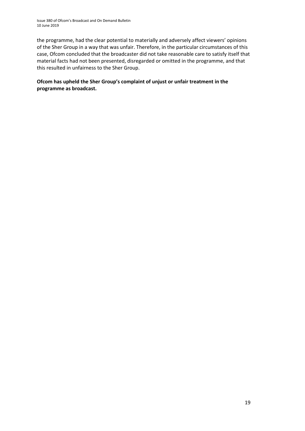Issue 380 of Ofcom's Broadcast and On Demand Bulletin 10 June 2019

the programme, had the clear potential to materially and adversely affect viewers' opinions of the Sher Group in a way that was unfair. Therefore, in the particular circumstances of this case, Ofcom concluded that the broadcaster did not take reasonable care to satisfy itself that material facts had not been presented, disregarded or omitted in the programme, and that this resulted in unfairness to the Sher Group.

#### **Ofcom has upheld the Sher Group's complaint of unjust or unfair treatment in the programme as broadcast.**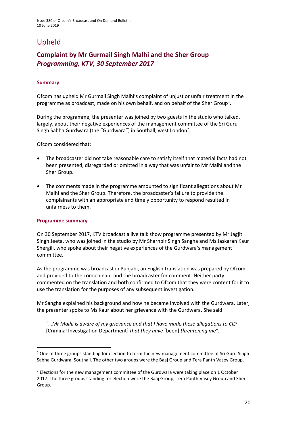### Upheld

### **Complaint by Mr Gurmail Singh Malhi and the Sher Group**  *Programming, KTV, 30 September 2017*

#### **Summary**

Ofcom has upheld Mr Gurmail Singh Malhi's complaint of unjust or unfair treatment in the programme as broadcast, made on his own behalf, and on behalf of the Sher Group<sup>1</sup>.

During the programme, the presenter was joined by two guests in the studio who talked, largely, about their negative experiences of the management committee of the Sri Guru Singh Sabha Gurdwara (the "Gurdwara") in Southall, west London<sup>2</sup>.

Ofcom considered that:

- The broadcaster did not take reasonable care to satisfy itself that material facts had not been presented, disregarded or omitted in a way that was unfair to Mr Malhi and the Sher Group.
- The comments made in the programme amounted to significant allegations about Mr Malhi and the Sher Group. Therefore, the broadcaster's failure to provide the complainants with an appropriate and timely opportunity to respond resulted in unfairness to them.

#### **Programme summary**

**.** 

On 30 September 2017, KTV broadcast a live talk show programme presented by Mr Jagjit Singh Jeeta, who was joined in the studio by Mr Sharnbir Singh Sangha and Ms Jaskaran Kaur Shergill, who spoke about their negative experiences of the Gurdwara's management committee.

As the programme was broadcast in Punjabi, an English translation was prepared by Ofcom and provided to the complainant and the broadcaster for comment. Neither party commented on the translation and both confirmed to Ofcom that they were content for it to use the translation for the purposes of any subsequent investigation.

Mr Sangha explained his background and how he became involved with the Gurdwara. Later, the presenter spoke to Ms Kaur about her grievance with the Gurdwara. She said:

*"…Mr Malhi is aware of my grievance and that I have made these allegations to CID*  [Criminal Investigation Department] *that they have* [been] *threatening me".* 

<sup>&</sup>lt;sup>1</sup> One of three groups standing for election to form the new management committee of Sri Guru Singh Sabha Gurdwara, Southall. The other two groups were the Baaj Group and Tera Panth Vasey Group.

 $2$  Elections for the new management committee of the Gurdwara were taking place on 1 October 2017. The three groups standing for election were the Baaj Group, Tera Panth Vasey Group and Sher Group.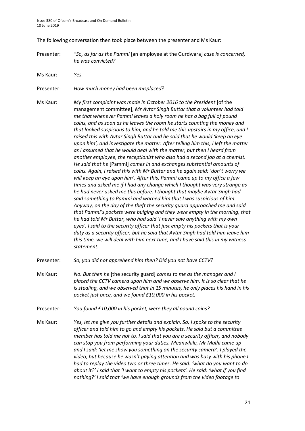The following conversation then took place between the presenter and Ms Kaur:

Presenter: *"So, as far as the Pammi* [an employee at the Gurdwara] *case is concerned, he was convicted?*

Ms Kaur: *Yes.* 

Presenter: *How much money had been misplaced?*

Ms Kaur: *My first complaint was made in October 2016 to the President* [of the management committee], *Mr Avtar Singh Buttar that a volunteer had told me that whenever Pammi leaves a holy room he has a bag full of pound coins, and as soon as he leaves the room he starts counting the money and that looked suspicious to him, and he told me this upstairs in my office, and I raised this with Avtar Singh Buttar and he said that he would 'keep an eye upon him', and investigate the matter. After telling him this, I left the matter as I assumed that he would deal with the matter, but then I heard from another employee, the receptionist who also had a second job at a chemist. He said that he* [Pammi] *comes in and exchanges substantial amounts of coins. Again, I raised this with Mr Buttar and he again said: 'don't worry we will keep an eye upon him'. After this, Pammi came up to my office a few times and asked me if I had any change which I thought was very strange as he had never asked me this before. I thought that maybe Avtar Singh had said something to Pammi and warned him that I was suspicious of him. Anyway, on the day of the theft the security guard approached me and said that Pammi's pockets were bulging and they were empty in the morning, that he had told Mr Buttar, who had said 'I never saw anything with my own eyes'. I said to the security officer that just empty his pockets that is your duty as a security officer, but he said that Avtar Singh had told him leave him this time, we will deal with him next time, and I have said this in my witness statement.*

- Presenter: *So, you did not apprehend him then? Did you not have CCTV?*
- Ms Kaur: *No. But then he* [the security guard] *comes to me as the manager and I placed the CCTV camera upon him and we observe him. It is so clear that he is stealing, and we observed that in 15 minutes, he only places his hand in his pocket just once, and we found £10,000 in his pocket.*
- Presenter: *You found £10,000 in his pocket, were they all pound coins?*
- Ms Kaur: *Yes, let me give you further details and explain. So, I spoke to the security officer and told him to go and empty his pockets. He said but a committee member has told me not to. I said that you are a security officer, and nobody can stop you from performing your duties. Meanwhile, Mr Malhi came up and I said: 'let me show you something on the security camera'. I played the video, but because he wasn't paying attention and was busy with his phone I had to replay the video two or three times. He said: 'what do you want to do about it?' I said that 'I want to empty his pockets'. He said: 'what if you find nothing?' I said that 'we have enough grounds from the video footage to*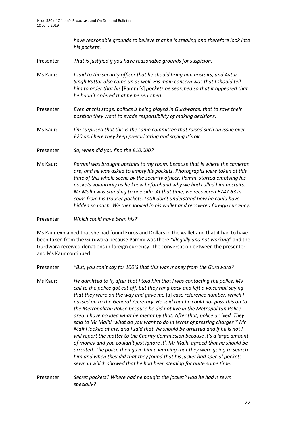*have reasonable grounds to believe that he is stealing and therefore look into his pockets'.*

- Presenter: *That is justified if you have reasonable grounds for suspicion.*
- Ms Kaur: *I said to the security officer that he should bring him upstairs, and Avtar Singh Buttar also came up as well. His main concern was that I should tell him to order that his* [Pammi's] *pockets be searched so that it appeared that he hadn't ordered that he be searched.*
- Presenter: *Even at this stage, politics is being played in Gurdwaras, that to save their position they want to evade responsibility of making decisions.*
- Ms Kaur: *I'm surprised that this is the same committee that raised such an issue over £20 and here they keep prevaricating and saying it's ok.*
- Presenter: *So, when did you find the £10,000?*
- Ms Kaur: *Pammi was brought upstairs to my room, because that is where the cameras are, and he was asked to empty his pockets. Photographs were taken at this time of this whole scene by the security officer. Pammi started emptying his pockets voluntarily as he knew beforehand why we had called him upstairs. Mr Malhi was standing to one side. At that time, we recovered £747.63 in coins from his trouser pockets. I still don't understand how he could have hidden so much. We then looked in his wallet and recovered foreign currency.*

Presenter: *Which could have been his?"*

Ms Kaur explained that she had found Euros and Dollars in the wallet and that it had to have been taken from the Gurdwara because Pammi was there *"illegally and not working"* and the Gurdwara received donations in foreign currency. The conversation between the presenter and Ms Kaur continued:

Presenter: *"But, you can't say for 100% that this was money from the Gurdwara?*

- Ms Kaur: *He admitted to it, after that I told him that I was contacting the police. My call to the police got cut off, but they rang back and left a voicemail saying that they were on the way and gave me* [a] *case reference number, which I passed on to the General Secretary. He said that he could not pass this on to the Metropolitan Police because he did not live in the Metropolitan Police area. I have no idea what he meant by that. After that, police arrived. They said to Mr Malhi 'what do you want to do in terms of pressing charges?' Mr Malhi looked at me, and I said that 'he should be arrested and if he is not I will report the matter to the Charity Commission because it's a large amount of money and you couldn't just ignore it'. Mr Malhi agreed that he should be arrested. The police then gave him a warning that they were going to search him and when they did that they found that his jacket had special pockets sewn in which showed that he had been stealing for quite some time.*
- Presenter: *Secret pockets? Where had he bought the jacket? Had he had it sewn specially?*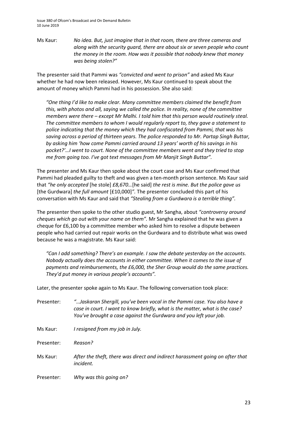Ms Kaur: *No idea. But, just imagine that in that room, there are three cameras and along with the security guard, there are about six or seven people who count the money in the room. How was it possible that nobody knew that money was being stolen?"*

The presenter said that Pammi was *"convicted and went to prison"* and asked Ms Kaur whether he had now been released. However, Ms Kaur continued to speak about the amount of money which Pammi had in his possession. She also said:

*"One thing I'd like to make clear. Many committee members claimed the benefit from this, with photos and all, saying we called the police. In reality, none of the committee members were there – except Mr Malhi. I told him that this person would routinely steal. The committee members to whom I would regularly report to, they gave a statement to police indicating that the money which they had confiscated from Pammi, that was his saving across a period of thirteen years. The police responded to Mr. Partap Singh Buttar, by asking him 'how come Pammi carried around 13 years' worth of his savings in his pocket?'…I went to court. None of the committee members went and they tried to stop me from going too. I've got text messages from Mr Manjit Singh Buttar".* 

The presenter and Ms Kaur then spoke about the court case and Ms Kaur confirmed that Pammi had pleaded guilty to theft and was given a ten-month prison sentence. Ms Kaur said that *"he only accepted* [he stole] *£8,670…*[he said] *the rest is mine. But the police gave us*  [the Gurdwara] *the full amount* [£10,000]*".* The presenter concluded this part of his conversation with Ms Kaur and said that *"Stealing from a Gurdwara is a terrible thing".* 

The presenter then spoke to the other studio guest, Mr Sangha, about *"controversy around cheques which go out with your name on them".* Mr Sangha explained that he was given a cheque for £6,100 by a committee member who asked him to resolve a dispute between people who had carried out repair works on the Gurdwara and to distribute what was owed because he was a magistrate. Ms Kaur said:

*"Can I add something? There's an example. I saw the debate yesterday on the accounts. Nobody actually does the accounts in either committee. When it comes to the issue of payments and reimbursements, the £6,000, the Sher Group would do the same practices. They'd put money in various people's accounts".* 

Later, the presenter spoke again to Ms Kaur. The following conversation took place:

| Presenter: | "Jaskaran Shergill, you've been vocal in the Pammi case. You also have a<br>case in court. I want to know briefly, what is the matter, what is the case?<br>You've brought a case against the Gurdwara and you left your job. |
|------------|-------------------------------------------------------------------------------------------------------------------------------------------------------------------------------------------------------------------------------|
| Ms Kaur:   | I resigned from my job in July.                                                                                                                                                                                               |
| Presenter: | Reason?                                                                                                                                                                                                                       |
| Ms Kaur:   | After the theft, there was direct and indirect harassment going on after that<br>incident.                                                                                                                                    |
| Presenter: | Why was this going on?                                                                                                                                                                                                        |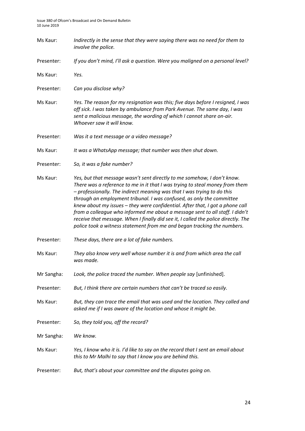- Ms Kaur: *Indirectly in the sense that they were saying there was no need for them to involve the police.*
- Presenter: *If you don't mind, I'll ask a question. Were you maligned on a personal level?*

Ms Kaur: *Yes.* 

- Presenter: *Can you disclose why?*
- Ms Kaur: *Yes. The reason for my resignation was this; five days before I resigned, I was off sick. I was taken by ambulance from Park Avenue. The same day, I was sent a malicious message, the wording of which I cannot share on-air. Whoever saw it will know.*
- Presenter: *Was it a text message or a video message?*
- Ms Kaur: *It was a WhatsApp message; that number was then shut down.*
- Presenter: *So, it was a fake number?*

Ms Kaur: *Yes, but that message wasn't sent directly to me somehow, I don't know. There was a reference to me in it that I was trying to steal money from them – professionally. The indirect meaning was that I was trying to do this through an employment tribunal. I was confused, as only the committee knew about my issues – they were confidential. After that, I got a phone call from a colleague who informed me about a message sent to all staff. I didn't receive that message. When I finally did see it, I called the police directly. The police took a witness statement from me and began tracking the numbers.*

- Presenter: *These days, there are a lot of fake numbers.*
- Ms Kaur: *They also know very well whose number it is and from which area the call was made.*
- Mr Sangha: *Look, the police traced the number. When people say* [unfinished].
- Presenter: *But, I think there are certain numbers that can't be traced so easily.*
- Ms Kaur: *But, they can trace the email that was used and the location. They called and asked me if I was aware of the location and whose it might be.*
- Presenter: *So, they told you, off the record?*
- Mr Sangha: *We know.*
- Ms Kaur: *Yes, I know who it is. I'd like to say on the record that I sent an email about this to Mr Malhi to say that I know you are behind this.*
- Presenter: *But, that's about your committee and the disputes going on.*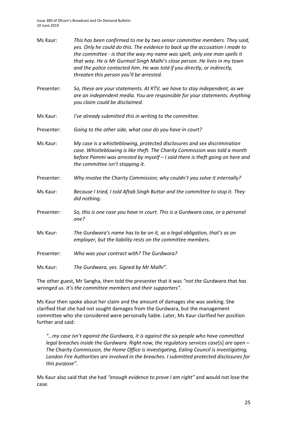| Ms Kaur:   | This has been confirmed to me by two senior committee members. They said,<br>yes. Only he could do this. The evidence to back up the accusation I made to<br>the committee - is that the way my name was spelt, only one man spells it<br>that way. He is Mr Gurmail Singh Malhi's close person. He lives in my town<br>and the police contacted him. He was told if you directly, or indirectly,<br>threaten this person you'll be arrested. |
|------------|-----------------------------------------------------------------------------------------------------------------------------------------------------------------------------------------------------------------------------------------------------------------------------------------------------------------------------------------------------------------------------------------------------------------------------------------------|
| Presenter: | So, these are your statements. At KTV, we have to stay independent, as we<br>are an independent media. You are responsible for your statements. Anything<br>you claim could be disclaimed.                                                                                                                                                                                                                                                    |
| Ms Kaur:   | I've already submitted this in writing to the committee.                                                                                                                                                                                                                                                                                                                                                                                      |
| Presenter: | Going to the other side, what case do you have in court?                                                                                                                                                                                                                                                                                                                                                                                      |
| Ms Kaur:   | My case is a whistleblowing, protected disclosures and sex discrimination<br>case. Whistleblowing is like theft. The Charity Commission was told a month<br>before Pammi was arrested by myself - I said there is theft going on here and<br>the committee isn't stopping it.                                                                                                                                                                 |
| Presenter: | Why involve the Charity Commission; why couldn't you solve it internally?                                                                                                                                                                                                                                                                                                                                                                     |
| Ms Kaur:   | Because I tried, I told Aftab Singh Buttar and the committee to stop it. They<br>did nothing.                                                                                                                                                                                                                                                                                                                                                 |
| Presenter: | So, this is one case you have in court. This is a Gurdwara case, or a personal<br>one?                                                                                                                                                                                                                                                                                                                                                        |
| Ms Kaur:   | The Gurdwara's name has to be on it, as a legal obligation, that's as an<br>employer, but the liability rests on the committee members.                                                                                                                                                                                                                                                                                                       |
| Presenter: | Who was your contract with? The Gurdwara?                                                                                                                                                                                                                                                                                                                                                                                                     |
| Ms Kaur:   | The Gurdwara, yes. Signed by Mr Malhi".                                                                                                                                                                                                                                                                                                                                                                                                       |

The other guest, Mr Sangha, then told the presenter that it was *"not the Gurdwara that has wronged us. It's the committee members and their supporters".* 

Ms Kaur then spoke about her claim and the amount of damages she was seeking. She clarified that she had not sought damages from the Gurdwara, but the management committee who she considered were personally liable. Later, Ms Kaur clarified her position further and said:

*"…my case isn't against the Gurdwara, it is against the six people who have committed legal breaches inside the Gurdwara. Right now, the regulatory services case*[s] *are open – The Charity Commission, the Home Office is investigating, Ealing Council is investigating, London Fire Authorities are involved in the breaches. I submitted protected disclosures for this purpose".*

Ms Kaur also said that she had *"enough evidence to prove I am right"* and would not lose the case.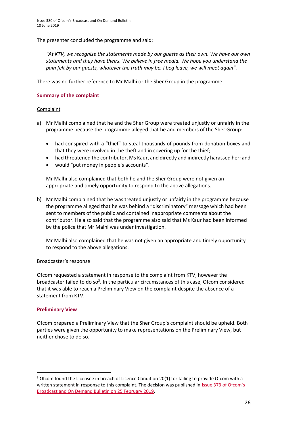The presenter concluded the programme and said:

*"At KTV, we recognise the statements made by our guests as their own. We have our own statements and they have theirs. We believe in free media. We hope you understand the pain felt by our guests, whatever the truth may be. I beg leave, we will meet again".*

There was no further reference to Mr Malhi or the Sher Group in the programme.

#### **Summary of the complaint**

#### Complaint

- a) Mr Malhi complained that he and the Sher Group were treated unjustly or unfairly in the programme because the programme alleged that he and members of the Sher Group:
	- had conspired with a "thief" to steal thousands of pounds from donation boxes and that they were involved in the theft and in covering up for the thief;
	- had threatened the contributor, Ms Kaur, and directly and indirectly harassed her; and
	- would "put money in people's accounts".

Mr Malhi also complained that both he and the Sher Group were not given an appropriate and timely opportunity to respond to the above allegations.

b) Mr Malhi complained that he was treated unjustly or unfairly in the programme because the programme alleged that he was behind a "discriminatory" message which had been sent to members of the public and contained inappropriate comments about the contributor. He also said that the programme also said that Ms Kaur had been informed by the police that Mr Malhi was under investigation.

Mr Malhi also complained that he was not given an appropriate and timely opportunity to respond to the above allegations.

#### Broadcaster's response

Ofcom requested a statement in response to the complaint from KTV, however the broadcaster failed to do so<sup>3</sup>. In the particular circumstances of this case, Ofcom considered that it was able to reach a Preliminary View on the complaint despite the absence of a statement from KTV.

#### **Preliminary View**

**.** 

Ofcom prepared a Preliminary View that the Sher Group's complaint should be upheld. Both parties were given the opportunity to make representations on the Preliminary View, but neither chose to do so.

 $3$  Ofcom found the Licensee in breach of Licence Condition 20(1) for failing to provide Ofcom with a written statement in response to this complaint. The decision was published in [Issue 373 of Ofcom's](https://www.ofcom.org.uk/__data/assets/pdf_file/0030/138648/Issue-373-Broadcast-and-On-Demand-Bulletin-25-February-2019.pdf)  [Broadcast and On Demand Bulletin on 25 February 2019.](https://www.ofcom.org.uk/__data/assets/pdf_file/0030/138648/Issue-373-Broadcast-and-On-Demand-Bulletin-25-February-2019.pdf)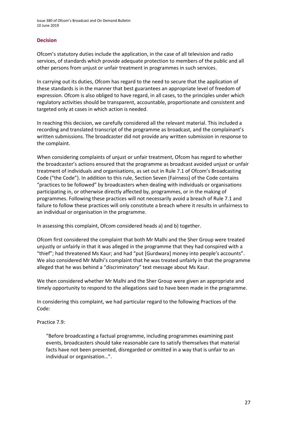#### **Decision**

Ofcom's statutory duties include the application, in the case of all television and radio services, of standards which provide adequate protection to members of the public and all other persons from unjust or unfair treatment in programmes in such services.

In carrying out its duties, Ofcom has regard to the need to secure that the application of these standards is in the manner that best guarantees an appropriate level of freedom of expression. Ofcom is also obliged to have regard, in all cases, to the principles under which regulatory activities should be transparent, accountable, proportionate and consistent and targeted only at cases in which action is needed.

In reaching this decision, we carefully considered all the relevant material. This included a recording and translated transcript of the programme as broadcast, and the complainant's written submissions. The broadcaster did not provide any written submission in response to the complaint.

When considering complaints of unjust or unfair treatment, Ofcom has regard to whether the broadcaster's actions ensured that the programme as broadcast avoided unjust or unfair treatment of individuals and organisations, as set out in Rule 7.1 of Ofcom's Broadcasting Code ("the Code"). In addition to this rule, Section Seven (Fairness) of the Code contains "practices to be followed" by broadcasters when dealing with individuals or organisations participating in, or otherwise directly affected by, programmes, or in the making of programmes. Following these practices will not necessarily avoid a breach of Rule 7.1 and failure to follow these practices will only constitute a breach where it results in unfairness to an individual or organisation in the programme.

In assessing this complaint, Ofcom considered heads a) and b) together.

Ofcom first considered the complaint that both Mr Malhi and the Sher Group were treated unjustly or unfairly in that it was alleged in the programme that they had conspired with a "thief"; had threatened Ms Kaur; and had "put [Gurdwara] money into people's accounts". We also considered Mr Malhi's complaint that he was treated unfairly in that the programme alleged that he was behind a "discriminatory" text message about Ms Kaur.

We then considered whether Mr Malhi and the Sher Group were given an appropriate and timely opportunity to respond to the allegations said to have been made in the programme.

In considering this complaint, we had particular regard to the following Practices of the Code:

Practice 7.9:

"Before broadcasting a factual programme, including programmes examining past events, broadcasters should take reasonable care to satisfy themselves that material facts have not been presented, disregarded or omitted in a way that is unfair to an individual or organisation…".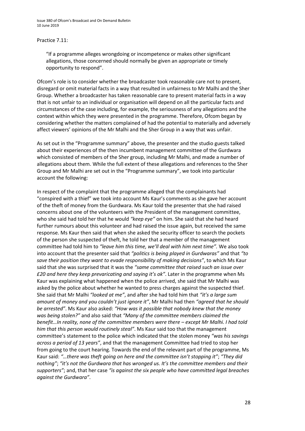#### Practice 7.11:

"If a programme alleges wrongdoing or incompetence or makes other significant allegations, those concerned should normally be given an appropriate or timely opportunity to respond".

Ofcom's role is to consider whether the broadcaster took reasonable care not to present, disregard or omit material facts in a way that resulted in unfairness to Mr Malhi and the Sher Group. Whether a broadcaster has taken reasonable care to present material facts in a way that is not unfair to an individual or organisation will depend on all the particular facts and circumstances of the case including, for example, the seriousness of any allegations and the context within which they were presented in the programme. Therefore, Ofcom began by considering whether the matters complained of had the potential to materially and adversely affect viewers' opinions of the Mr Malhi and the Sher Group in a way that was unfair.

As set out in the "Programme summary" above, the presenter and the studio guests talked about their experiences of the then incumbent management committee of the Gurdwara which consisted of members of the Sher group, including Mr Malhi, and made a number of allegations about them. While the full extent of these allegations and references to the Sher Group and Mr Malhi are set out in the "Programme summary", we took into particular account the following:

In respect of the complaint that the programme alleged that the complainants had "conspired with a thief" we took into account Ms Kaur's comments as she gave her account of the theft of money from the Gurdwara. Ms Kaur told the presenter that she had raised concerns about one of the volunteers with the President of the management committee, who she said had told her that he would *"keep eye"* on him. She said that she had heard further rumours about this volunteer and had raised the issue again, but received the same response. Ms Kaur then said that when she asked the security officer to search the pockets of the person she suspected of theft, he told her that a member of the management committee had told him to *"leave him this time, we'll deal with him next time".* We also took into account that the presenter said that *"politics is being played in Gurdwaras"* and that *"to save their position they want to evade responsibility of making decisions"*, to which Ms Kaur said that she was surprised that it was the *"same committee that raised such an issue over £20 and here they keep prevaricating and saying it's ok"*. Later in the programme when Ms Kaur was explaining what happened when the police arrived, she said that Mr Malhi was asked by the police about whether he wanted to press charges against the suspected thief. She said that Mr Malhi *"looked at me"*, and after she had told him that *"it's a large sum amount of money and you couldn't just ignore it"*, Mr Malhi had then *"agreed that he should be arrested"*. Ms Kaur also asked: *"How was it possible that nobody knew that the money was being stolen?"* and also said that *"Many of the committee members claimed the benefit…In reality, none of the committee members were there – except Mr Malhi. I had told him that this person would routinely steal"*. Ms Kaur said too that the management committee's statement to the police which indicated that the stolen money *"was his savings across a period of 13 years"*, and that the management Committee had tried to stop her from going to the court hearing. Towards the end of the relevant part of the programme, Ms Kaur said: *"…there was theft going on here and the committee isn't stopping it"*; *"They did nothing"*; *"it's not the Gurdwara that has wronged us. It's the committee members and their supporters"*; and, that her case *"is against the six people who have committed legal breaches against the Gurdwara"*.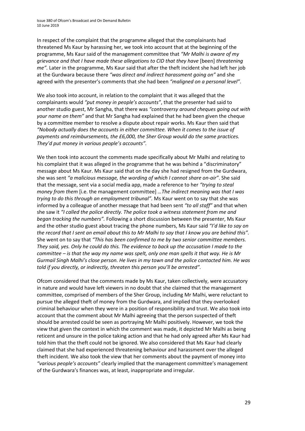Issue 380 of Ofcom's Broadcast and On Demand Bulletin 10 June 2019

In respect of the complaint that the programme alleged that the complainants had threatened Ms Kaur by harassing her, we took into account that at the beginning of the programme, Ms Kaur said of the management committee that *"Mr Malhi is aware of my grievance and that I have made these allegations to CID that they have [been] threatening me".* Later in the programme, Ms Kaur said that after the theft incident she had left her job at the Gurdwara because there *"was direct and indirect harassment going on"* and she agreed with the presenter's comments that she had been *"maligned on a personal level"*.

We also took into account, in relation to the complaint that it was alleged that the complainants would *"put money in people's accounts"*, that the presenter had said to another studio guest, Mr Sangha, that there was *"controversy around cheques going out with your name on them"* and that Mr Sangha had explained that he had been given the cheque by a committee member to resolve a dispute about repair works. Ms Kaur then said that *"Nobody actually does the accounts in either committee. When it comes to the issue of payments and reimbursements, the £6,000, the Sher Group would do the same practices. They'd put money in various people's accounts".* 

We then took into account the comments made specifically about Mr Malhi and relating to his complaint that it was alleged in the programme that he was behind a "discriminatory" message about Ms Kaur. Ms Kaur said that on the day she had resigned from the Gurdwara, she was sent *"a malicious message, the wording of which I cannot share on-air"*. She said that the message, sent via a social media app, made a reference to her *"trying to steal money from them* [i.e. the management committee] *…The indirect meaning was that I was trying to do this through an employment tribunal".* Ms Kaur went on to say that she was informed by a colleague of another message that had been sent *"to all staff"* and that when she saw it *"I called the police directly. The police took a witness statement from me and began tracking the numbers".* Following a short discussion between the presenter, Ms Kaur and the other studio guest about tracing the phone numbers, Ms Kaur said *"I'd like to say on the record that I sent an email about this to Mr Malhi to say that I know you are behind this".*  She went on to say that *"This has been confirmed to me by two senior committee members. They said, yes. Only he could do this. The evidence to back up the accusation I made to the committee – is that the way my name was spelt, only one man spells it that way. He is Mr Gurmail Singh Malhi's close person. He lives in my town and the police contacted him. He was told if you directly, or indirectly, threaten this person you'll be arrested".*

Ofcom considered that the comments made by Ms Kaur, taken collectively, were accusatory in nature and would have left viewers in no doubt that she claimed that the management committee, comprised of members of the Sher Group, including Mr Malhi, were reluctant to pursue the alleged theft of money from the Gurdwara, and implied that they overlooked criminal behaviour when they were in a position of responsibility and trust. We also took into account that the comment about Mr Malhi agreeing that the person suspected of theft should be arrested could be seen as portraying Mr Malhi positively. However, we took the view that given the context in which the comment was made, it depicted Mr Malhi as being reticent and unsure in the police taking action and that he had only agreed after Ms Kaur had told him that the theft could not be ignored. We also considered that Ms Kaur had clearly claimed that she had experienced threatening behaviour and harassment over the alleged theft incident. We also took the view that her comments about the payment of money into *"various people's accounts"* clearly implied that the management committee's management of the Gurdwara's finances was, at least, inappropriate and irregular.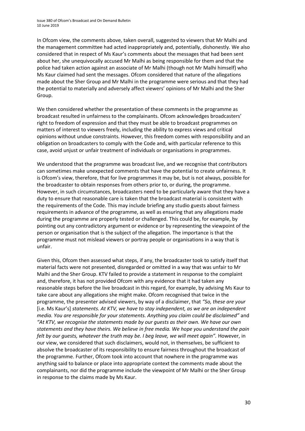In Ofcom view, the comments above, taken overall, suggested to viewers that Mr Malhi and the management committee had acted inappropriately and, potentially, dishonestly. We also considered that in respect of Ms Kaur's comments about the messages that had been sent about her, she unequivocally accused Mr Malhi as being responsible for them and that the police had taken action against an associate of Mr Malhi (though not Mr Malhi himself) who Ms Kaur claimed had sent the messages. Ofcom considered that nature of the allegations made about the Sher Group and Mr Malhi in the programme were serious and that they had the potential to materially and adversely affect viewers' opinions of Mr Malhi and the Sher Group.

We then considered whether the presentation of these comments in the programme as broadcast resulted in unfairness to the complainants. Ofcom acknowledges broadcasters' right to freedom of expression and that they must be able to broadcast programmes on matters of interest to viewers freely, including the ability to express views and critical opinions without undue constraints. However, this freedom comes with responsibility and an obligation on broadcasters to comply with the Code and, with particular reference to this case, avoid unjust or unfair treatment of individuals or organisations in programmes.

We understood that the programme was broadcast live, and we recognise that contributors can sometimes make unexpected comments that have the potential to create unfairness. It is Ofcom's view, therefore, that for live programmes it may be, but is not always, possible for the broadcaster to obtain responses from others prior to, or during, the programme. However, in such circumstances, broadcasters need to be particularly aware that they have a duty to ensure that reasonable care is taken that the broadcast material is consistent with the requirements of the Code. This may include briefing any studio guests about fairness requirements in advance of the programme, as well as ensuring that any allegations made during the programme are properly tested or challenged. This could be, for example, by pointing out any contradictory argument or evidence or by representing the viewpoint of the person or organisation that is the subject of the allegation. The importance is that the programme must not mislead viewers or portray people or organisations in a way that is unfair.

Given this, Ofcom then assessed what steps, if any, the broadcaster took to satisfy itself that material facts were not presented, disregarded or omitted in a way that was unfair to Mr Malhi and the Sher Group. KTV failed to provide a statement in response to the complaint and, therefore, it has not provided Ofcom with any evidence that it had taken any reasonable steps before the live broadcast in this regard, for example, by advising Ms Kaur to take care about any allegations she might make. Ofcom recognised that twice in the programme, the presenter advised viewers, by way of a disclaimer, that *"So, these are your*  [i.e. Ms Kaur's] *statements. At KTV, we have to stay independent, as we are an independent media. You are responsible for your statements. Anything you claim could be disclaimed"* and *"At KTV, we recognise the statements made by our guests as their own. We have our own statements and they have theirs. We believe in free media. We hope you understand the pain felt by our quests, whatever the truth may be. I beg leave, we will meet again".* However, in our view, we considered that such disclaimers, would not, in themselves, be sufficient to absolve the broadcaster of its responsibility to ensure fairness throughout the broadcast of the programme. Further, Ofcom took into account that nowhere in the programme was anything said to balance or place into appropriate context the comments made about the complainants, nor did the programme include the viewpoint of Mr Malhi or the Sher Group in response to the claims made by Ms Kaur.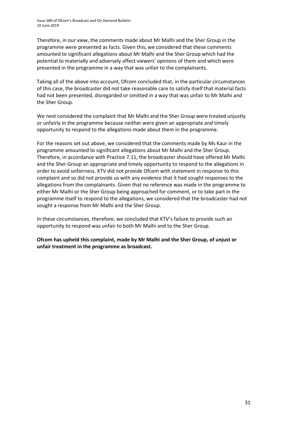Therefore, in our view, the comments made about Mr Malhi and the Sher Group in the programme were presented as facts. Given this, we considered that these comments amounted to significant allegations about Mr Malhi and the Sher Group which had the potential to materially and adversely affect viewers' opinions of them and which were presented in the programme in a way that was unfair to the complainants.

Taking all of the above into account, Ofcom concluded that, in the particular circumstances of this case, the broadcaster did not take reasonable care to satisfy itself that material facts had not been presented, disregarded or omitted in a way that was unfair to Mr Malhi and the Sher Group.

We next considered the complaint that Mr Malhi and the Sher Group were treated unjustly or unfairly in the programme because neither were given an appropriate and timely opportunity to respond to the allegations made about them in the programme.

For the reasons set out above, we considered that the comments made by Ms Kaur in the programme amounted to significant allegations about Mr Malhi and the Sher Group. Therefore, in accordance with Practice 7.11, the broadcaster should have offered Mr Malhi and the Sher Group an appropriate and timely opportunity to respond to the allegations in order to avoid unfairness. KTV did not provide Ofcom with statement in response to this complaint and so did not provide us with any evidence that it had sought responses to the allegations from the complainants. Given that no reference was made in the programme to either Mr Malhi or the Sher Group being approached for comment, or to take part in the programme itself to respond to the allegations, we considered that the broadcaster had not sought a response from Mr Malhi and the Sher Group.

In these circumstances, therefore, we concluded that KTV's failure to provide such an opportunity to respond was unfair to both Mr Malhi and to the Sher Group.

**Ofcom has upheld this complaint, made by Mr Malhi and the Sher Group, of unjust or unfair treatment in the programme as broadcast.**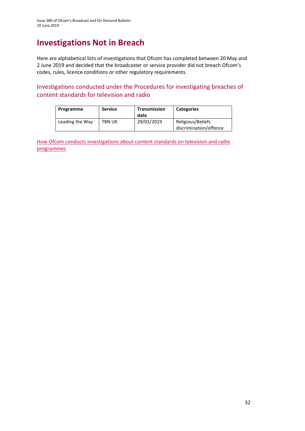# **Investigations Not in Breach**

Here are alphabetical lists of investigations that Ofcom has completed between 20 May and 2 June 2019 and decided that the broadcaster or service provider did not breach Ofcom's codes, rules, licence conditions or other regulatory requirements.

Investigations conducted under the Procedures for investigating breaches of content standards for television and radio

| Programme       | <b>Service</b> | <b>Transmission</b><br>date | <b>Categories</b>                           |
|-----------------|----------------|-----------------------------|---------------------------------------------|
| Leading the Way | TBN UK         | 29/01/2019                  | Religious/Beliefs<br>discrimination/offence |

How Ofcom conducts investigations about content standards on television and radio [programmes](https://www.ofcom.org.uk/__data/assets/pdf_file/0020/55109/breaches-content-standards.pdf)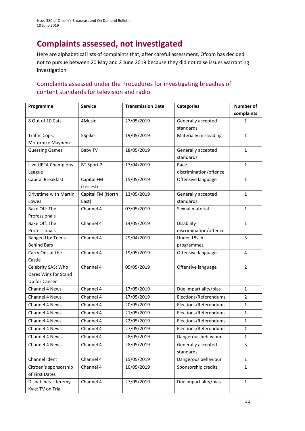# **Complaints assessed, not investigated**

Here are alphabetical lists of complaints that, after careful assessment, Ofcom has decided not to pursue between 20 May and 2 June 2019 because they did not raise issues warranting investigation.

### Complaints assessed under the Procedures for investigating breaches of content standards for television and radio

| Programme               | <b>Service</b>    | <b>Transmission Date</b> | <b>Categories</b>      | <b>Number of</b> |
|-------------------------|-------------------|--------------------------|------------------------|------------------|
|                         |                   |                          |                        | complaints       |
| 8 Out of 10 Cats        | 4Music            | 27/05/2019               | Generally accepted     | 1                |
|                         |                   |                          | standards              |                  |
| <b>Traffic Cops:</b>    | 5Spike            | 19/05/2019               | Materially misleading  | $\mathbf{1}$     |
| Motorbike Mayhem        |                   |                          |                        |                  |
| <b>Guessing Games</b>   | Baby TV           | 18/05/2019               | Generally accepted     | $\mathbf{1}$     |
|                         |                   |                          | standards              |                  |
| Live UEFA Champions     | BT Sport 2        | 17/04/2019               | Race                   | $\mathbf{1}$     |
| League                  |                   |                          | discrimination/offence |                  |
| Capital Breakfast       | Capital FM        | 15/05/2019               | Offensive language     | $\mathbf{1}$     |
|                         | (Leicester)       |                          |                        |                  |
| Drivetime with Martin   | Capital FM (North | 13/05/2019               | Generally accepted     | $\mathbf{1}$     |
| Lowes                   | East)             |                          | standards              |                  |
| Bake Off: The           | Channel 4         | 07/05/2019               | Sexual material        | $\mathbf{1}$     |
| Professionals           |                   |                          |                        |                  |
| <b>Bake Off: The</b>    | Channel 4         | 14/05/2019               | Disability             | $\mathbf{1}$     |
| Professionals           |                   |                          | discrimination/offence |                  |
| <b>Banged Up: Teens</b> | Channel 4         | 29/04/2019               | Under 18s in           | 3                |
| <b>Behind Bars</b>      |                   |                          | programmes             |                  |
| Carry Ons at the        | Channel 4         | 19/05/2019               | Offensive language     | $\overline{4}$   |
| Castle                  |                   |                          |                        |                  |
| Celebrity SAS: Who      | Channel 4         | 05/05/2019               | Offensive language     | $\overline{2}$   |
| Dares Wins for Stand    |                   |                          |                        |                  |
| Up for Cancer           |                   |                          |                        |                  |
| <b>Channel 4 News</b>   | Channel 4         | 17/05/2019               | Due impartiality/bias  | $\mathbf{1}$     |
| Channel 4 News          | Channel 4         | 17/05/2019               | Elections/Referendums  | $\overline{2}$   |
| Channel 4 News          | Channel 4         | 20/05/2019               | Elections/Referendums  | $\mathbf{1}$     |
| Channel 4 News          | Channel 4         | 21/05/2019               | Elections/Referendums  | $\mathbf{1}$     |
| Channel 4 News          | Channel 4         | 22/05/2019               | Elections/Referendums  | $\mathbf{1}$     |
| Channel 4 News          | Channel 4         | 27/05/2019               | Elections/Referendums  | $\mathbf{1}$     |
| Channel 4 News          | Channel 4         | 28/05/2019               | Dangerous behaviour    | $\mathbf{1}$     |
| Channel 4 News          | Channel 4         | 28/05/2019               | Generally accepted     | 3                |
|                         |                   |                          | standards              |                  |
| Channel ident           | Channel 4         | 15/05/2019               | Dangerous behaviour    | $\mathbf{1}$     |
| Citroën's sponsorship   | Channel 4         | 10/05/2019               | Sponsorship credits    | 1                |
| of First Dates          |                   |                          |                        |                  |
| Dispatches - Jeremy     | Channel 4         | 27/05/2019               | Due impartiality/bias  | $\mathbf{1}$     |
| Kyle: TV on Trial       |                   |                          |                        |                  |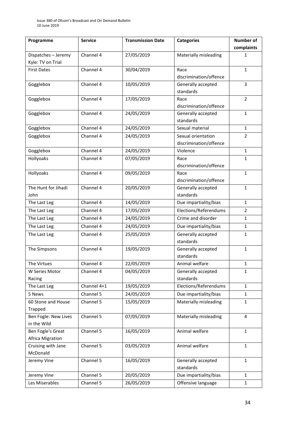| Programme            | <b>Service</b> | <b>Transmission Date</b> | <b>Categories</b>      | <b>Number of</b> |
|----------------------|----------------|--------------------------|------------------------|------------------|
|                      |                |                          |                        | complaints       |
| Dispatches - Jeremy  | Channel 4      | 27/05/2019               | Materially misleading  | 1                |
| Kyle: TV on Trial    |                |                          |                        |                  |
| <b>First Dates</b>   | Channel 4      | 30/04/2019               | Race                   | $\mathbf{1}$     |
|                      |                |                          | discrimination/offence |                  |
| Gogglebox            | Channel 4      | 10/05/2019               | Generally accepted     | 3                |
|                      |                |                          | standards              |                  |
| Gogglebox            | Channel 4      | 17/05/2019               | Race                   | $\overline{2}$   |
|                      |                |                          | discrimination/offence |                  |
| Gogglebox            | Channel 4      | 24/05/2019               | Generally accepted     | $\mathbf{1}$     |
|                      |                |                          | standards              |                  |
| Gogglebox            | Channel 4      | 24/05/2019               | Sexual material        | $\mathbf{1}$     |
| Gogglebox            | Channel 4      | 24/05/2019               | Sexual orientation     | $\overline{2}$   |
|                      |                |                          | discrimination/offence |                  |
| Gogglebox            | Channel 4      | 24/05/2019               | Violence               | $\mathbf{1}$     |
| Hollyoaks            | Channel 4      | 07/05/2019               | Race                   | $\mathbf{1}$     |
|                      |                |                          | discrimination/offence |                  |
| Hollyoaks            | Channel 4      | 09/05/2019               | Race                   | $\mathbf{1}$     |
|                      |                |                          | discrimination/offence |                  |
| The Hunt for Jihadi  | Channel 4      | 20/05/2019               | Generally accepted     | $\mathbf{1}$     |
| John                 |                |                          | standards              |                  |
| The Last Leg         | Channel 4      | 14/05/2019               | Due impartiality/bias  | $\mathbf{1}$     |
| The Last Leg         | Channel 4      | 17/05/2019               | Elections/Referendums  | $\overline{2}$   |
| The Last Leg         | Channel 4      | 24/05/2019               | Crime and disorder     | $\mathbf{1}$     |
| The Last Leg         | Channel 4      | 24/05/2019               | Due impartiality/bias  | $\mathbf{1}$     |
| The Last Leg         | Channel 4      | 25/05/2019               | Generally accepted     | 1                |
|                      |                |                          | standards              |                  |
| The Simpsons         | Channel 4      | 19/05/2019               | Generally accepted     | $\mathbf{1}$     |
|                      |                |                          | standards              |                  |
| The Virtues          | Channel 4      | 22/05/2019               | Animal welfare         | 1                |
| W Series Motor       | Channel 4      | 04/05/2019               | Generally accepted     | $\mathbf{1}$     |
| Racing               |                |                          | standards              |                  |
| The Last Leg         | Channel 4+1    | 19/05/2019               | Elections/Referendums  | $\mathbf{1}$     |
| 5 News               | Channel 5      | 24/05/2019               | Due impartiality/bias  | $\mathbf{1}$     |
| 60 Stone and House   | Channel 5      | 15/05/2019               | Materially misleading  | $\mathbf{1}$     |
| <b>Trapped</b>       |                |                          |                        |                  |
| Ben Fogle: New Lives | Channel 5      | 07/05/2019               | Materially misleading  | 4                |
| in the Wild          |                |                          |                        |                  |
| Ben Fogle's Great    | Channel 5      | 16/05/2019               | Animal welfare         | $\mathbf{1}$     |
| Africa Migration     |                |                          |                        |                  |
| Cruising with Jane   | Channel 5      | 03/05/2019               | Animal welfare         | $\mathbf{1}$     |
| McDonald             |                |                          |                        |                  |
| Jeremy Vine          | Channel 5      | 16/05/2019               | Generally accepted     | $\mathbf{1}$     |
|                      |                |                          | standards              |                  |
| Jeremy Vine          | Channel 5      | 20/05/2019               | Due impartiality/bias  | $\mathbf{1}$     |
| Les Miserables       | Channel 5      | 26/05/2019               | Offensive language     | $\mathbf{1}$     |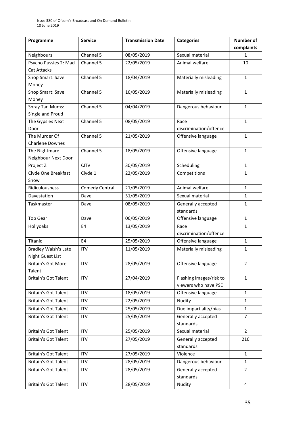| Programme                                            | <b>Service</b> | <b>Transmission Date</b> | <b>Categories</b>       | <b>Number of</b> |
|------------------------------------------------------|----------------|--------------------------|-------------------------|------------------|
|                                                      |                |                          |                         | complaints       |
| Neighbours                                           | Channel 5      | 08/05/2019               | Sexual material         | $\mathbf{1}$     |
| Psycho Pussies 2: Mad                                | Channel 5      | 22/05/2019               | Animal welfare          | 10               |
| <b>Cat Attacks</b>                                   |                |                          |                         |                  |
| Shop Smart: Save                                     | Channel 5      | 18/04/2019               | Materially misleading   | $\mathbf{1}$     |
| Money                                                |                |                          |                         |                  |
| Shop Smart: Save                                     | Channel 5      | 16/05/2019               | Materially misleading   | $\mathbf{1}$     |
| Money                                                |                |                          |                         |                  |
| <b>Spray Tan Mums:</b>                               | Channel 5      | 04/04/2019               | Dangerous behaviour     | $\mathbf{1}$     |
| Single and Proud                                     |                |                          |                         |                  |
| The Gypsies Next                                     | Channel 5      | 08/05/2019               | Race                    | $\mathbf{1}$     |
| Door                                                 |                |                          | discrimination/offence  |                  |
| The Murder Of                                        | Channel 5      | 21/05/2019               | Offensive language      | $\mathbf{1}$     |
| <b>Charlene Downes</b>                               |                |                          |                         |                  |
| The Nightmare                                        | Channel 5      | 18/05/2019               | Offensive language      | $\mathbf{1}$     |
| Neighbour Next Door                                  |                |                          |                         |                  |
| Project Z                                            | <b>CITV</b>    | 30/05/2019               | Scheduling              | $\mathbf{1}$     |
| Clyde One Breakfast                                  | Clyde 1        | 22/05/2019               | Competitions            | $\mathbf{1}$     |
| Show                                                 |                |                          |                         |                  |
| Ridiculousness                                       | Comedy Central | 21/05/2019               | Animal welfare          | $\mathbf{1}$     |
| Davestation                                          | Dave           | 31/05/2019               | Sexual material         | $\mathbf{1}$     |
| Taskmaster                                           | Dave           | 08/05/2019               | Generally accepted      | $\mathbf{1}$     |
|                                                      |                |                          | standards               |                  |
| <b>Top Gear</b>                                      | Dave           | 06/05/2019               | Offensive language      | $\mathbf{1}$     |
| Hollyoaks                                            | E4             | 13/05/2019               | Race                    | $\mathbf{1}$     |
|                                                      |                |                          | discrimination/offence  |                  |
| Titanic                                              | E4             | 25/05/2019               | Offensive language      | $\mathbf{1}$     |
| <b>Bradley Walsh's Late</b>                          | <b>ITV</b>     | 11/05/2019               | Materially misleading   | $\mathbf{1}$     |
| <b>Night Guest List</b><br><b>Britain's Got More</b> | <b>ITV</b>     |                          |                         | 2                |
| Talent                                               |                | 28/05/2019               | Offensive language      |                  |
| <b>Britain's Got Talent</b>                          | <b>ITV</b>     | 27/04/2019               | Flashing images/risk to | $\mathbf{1}$     |
|                                                      |                |                          | viewers who have PSE    |                  |
| <b>Britain's Got Talent</b>                          | <b>ITV</b>     | 18/05/2019               | Offensive language      | $\mathbf{1}$     |
| <b>Britain's Got Talent</b>                          | <b>ITV</b>     | 22/05/2019               | Nudity                  | $\mathbf{1}$     |
| <b>Britain's Got Talent</b>                          | <b>ITV</b>     | 25/05/2019               | Due impartiality/bias   | $\mathbf{1}$     |
| <b>Britain's Got Talent</b>                          | <b>ITV</b>     | 25/05/2019               | Generally accepted      | $\overline{7}$   |
|                                                      |                |                          | standards               |                  |
| <b>Britain's Got Talent</b>                          | <b>ITV</b>     | 25/05/2019               | Sexual material         | $\overline{2}$   |
| <b>Britain's Got Talent</b>                          | <b>ITV</b>     | 27/05/2019               | Generally accepted      | 216              |
|                                                      |                |                          | standards               |                  |
| <b>Britain's Got Talent</b>                          | <b>ITV</b>     | 27/05/2019               | Violence                | $\mathbf{1}$     |
| <b>Britain's Got Talent</b>                          | <b>ITV</b>     | 28/05/2019               | Dangerous behaviour     | $\mathbf{1}$     |
| <b>Britain's Got Talent</b>                          | <b>ITV</b>     | 28/05/2019               | Generally accepted      | $\overline{2}$   |
|                                                      |                |                          | standards               |                  |
| <b>Britain's Got Talent</b>                          | <b>ITV</b>     | 28/05/2019               | Nudity                  | 4                |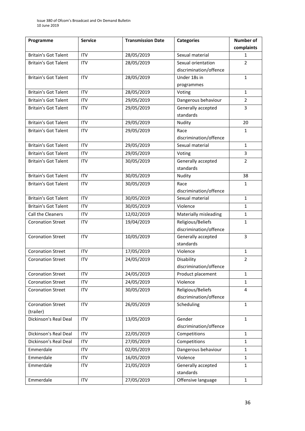| Programme                   | <b>Service</b> | <b>Transmission Date</b> | <b>Categories</b>      | <b>Number of</b> |
|-----------------------------|----------------|--------------------------|------------------------|------------------|
|                             |                |                          |                        | complaints       |
| <b>Britain's Got Talent</b> | <b>ITV</b>     | 28/05/2019               | Sexual material        | 1                |
| <b>Britain's Got Talent</b> | <b>ITV</b>     | 28/05/2019               | Sexual orientation     | $\overline{2}$   |
|                             |                |                          | discrimination/offence |                  |
| <b>Britain's Got Talent</b> | <b>ITV</b>     | 28/05/2019               | Under 18s in           | $\mathbf{1}$     |
|                             |                |                          | programmes             |                  |
| <b>Britain's Got Talent</b> | <b>ITV</b>     | 28/05/2019               | Voting                 | $\mathbf{1}$     |
| <b>Britain's Got Talent</b> | <b>ITV</b>     | 29/05/2019               | Dangerous behaviour    | $\overline{2}$   |
| <b>Britain's Got Talent</b> | <b>ITV</b>     | 29/05/2019               | Generally accepted     | 3                |
|                             |                |                          | standards              |                  |
| <b>Britain's Got Talent</b> | <b>ITV</b>     | 29/05/2019               | Nudity                 | 20               |
| <b>Britain's Got Talent</b> | <b>ITV</b>     | 29/05/2019               | Race                   | $\mathbf{1}$     |
|                             |                |                          | discrimination/offence |                  |
| <b>Britain's Got Talent</b> | <b>ITV</b>     | 29/05/2019               | Sexual material        | $\mathbf{1}$     |
| <b>Britain's Got Talent</b> | <b>ITV</b>     | 29/05/2019               | Voting                 | 3                |
| <b>Britain's Got Talent</b> | <b>ITV</b>     | 30/05/2019               | Generally accepted     | $\overline{2}$   |
|                             |                |                          | standards              |                  |
| <b>Britain's Got Talent</b> | <b>ITV</b>     | 30/05/2019               | Nudity                 | 38               |
| <b>Britain's Got Talent</b> | <b>ITV</b>     | 30/05/2019               | Race                   | $\mathbf{1}$     |
|                             |                |                          | discrimination/offence |                  |
| <b>Britain's Got Talent</b> | <b>ITV</b>     | 30/05/2019               | Sexual material        | $\mathbf{1}$     |
| <b>Britain's Got Talent</b> | <b>ITV</b>     | 30/05/2019               | Violence               | $\mathbf{1}$     |
| Call the Cleaners           | <b>ITV</b>     | 12/02/2019               | Materially misleading  | $\mathbf{1}$     |
| <b>Coronation Street</b>    | <b>ITV</b>     | 19/04/2019               | Religious/Beliefs      | $\mathbf{1}$     |
|                             |                |                          | discrimination/offence |                  |
| <b>Coronation Street</b>    | <b>ITV</b>     | 10/05/2019               | Generally accepted     | 3                |
|                             |                |                          | standards              |                  |
| <b>Coronation Street</b>    | <b>ITV</b>     | 17/05/2019               | Violence               | $\mathbf{1}$     |
| <b>Coronation Street</b>    | <b>ITV</b>     | 24/05/2019               | Disability             | $\overline{2}$   |
|                             |                |                          | discrimination/offence |                  |
| <b>Coronation Street</b>    | <b>ITV</b>     | 24/05/2019               | Product placement      | $\mathbf{1}$     |
| <b>Coronation Street</b>    | <b>ITV</b>     | 24/05/2019               | Violence               | $\mathbf{1}$     |
| <b>Coronation Street</b>    | <b>ITV</b>     | 30/05/2019               | Religious/Beliefs      | 4                |
|                             |                |                          | discrimination/offence |                  |
| <b>Coronation Street</b>    | <b>ITV</b>     | 26/05/2019               | Scheduling             | $\mathbf{1}$     |
| (trailer)                   |                |                          |                        |                  |
| Dickinson's Real Deal       | <b>ITV</b>     | 13/05/2019               | Gender                 | $\mathbf{1}$     |
| Dickinson's Real Deal       | <b>ITV</b>     | 22/05/2019               | discrimination/offence | $\mathbf{1}$     |
| Dickinson's Real Deal       |                | 27/05/2019               | Competitions           | $\mathbf{1}$     |
|                             | <b>ITV</b>     |                          | Competitions           |                  |
| Emmerdale                   | <b>ITV</b>     | 02/05/2019               | Dangerous behaviour    | $\mathbf{1}$     |
| Emmerdale                   | <b>ITV</b>     | 16/05/2019               | Violence               | $\mathbf{1}$     |
| Emmerdale                   | <b>ITV</b>     | 21/05/2019               | Generally accepted     | $\mathbf{1}$     |
|                             |                |                          | standards              |                  |
| Emmerdale                   | <b>ITV</b>     | 27/05/2019               | Offensive language     | $\mathbf{1}$     |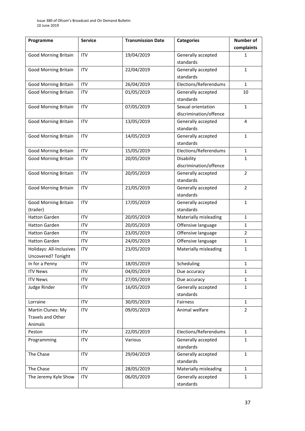| Programme                                      | <b>Service</b> | <b>Transmission Date</b> | <b>Categories</b>      | <b>Number of</b> |
|------------------------------------------------|----------------|--------------------------|------------------------|------------------|
|                                                |                |                          |                        | complaints       |
| <b>Good Morning Britain</b>                    | <b>ITV</b>     | 19/04/2019               | Generally accepted     | 1                |
|                                                |                |                          | standards              |                  |
| <b>Good Morning Britain</b>                    | <b>ITV</b>     | 22/04/2019               | Generally accepted     | $\mathbf{1}$     |
|                                                |                |                          | standards              |                  |
| <b>Good Morning Britain</b>                    | <b>ITV</b>     | 26/04/2019               | Elections/Referendums  | $\mathbf{1}$     |
| <b>Good Morning Britain</b>                    | <b>ITV</b>     | 01/05/2019               | Generally accepted     | 10               |
|                                                |                |                          | standards              |                  |
| <b>Good Morning Britain</b>                    | <b>ITV</b>     | 07/05/2019               | Sexual orientation     | $\mathbf{1}$     |
|                                                |                |                          | discrimination/offence |                  |
| <b>Good Morning Britain</b>                    | <b>ITV</b>     | 13/05/2019               | Generally accepted     | 4                |
|                                                |                |                          | standards              |                  |
| <b>Good Morning Britain</b>                    | <b>ITV</b>     | 14/05/2019               | Generally accepted     | $\mathbf{1}$     |
|                                                |                |                          | standards              |                  |
| <b>Good Morning Britain</b>                    | <b>ITV</b>     | 15/05/2019               | Elections/Referendums  | $\mathbf{1}$     |
| <b>Good Morning Britain</b>                    | <b>ITV</b>     | 20/05/2019               | Disability             | $\mathbf{1}$     |
|                                                |                |                          | discrimination/offence |                  |
| <b>Good Morning Britain</b>                    | <b>ITV</b>     | 20/05/2019               | Generally accepted     | $\overline{2}$   |
|                                                |                |                          | standards              |                  |
| <b>Good Morning Britain</b>                    | <b>ITV</b>     | 21/05/2019               | Generally accepted     | $\overline{2}$   |
|                                                |                |                          | standards              |                  |
| <b>Good Morning Britain</b>                    | <b>ITV</b>     | 17/05/2019               | Generally accepted     | $\mathbf{1}$     |
| (trailer)                                      |                |                          | standards              |                  |
| <b>Hatton Garden</b>                           | <b>ITV</b>     | 20/05/2019               | Materially misleading  | $\mathbf{1}$     |
| <b>Hatton Garden</b>                           | <b>ITV</b>     | 20/05/2019               | Offensive language     | $\mathbf{1}$     |
| <b>Hatton Garden</b>                           | <b>ITV</b>     | 23/05/2019               | Offensive language     | $\overline{2}$   |
| <b>Hatton Garden</b>                           | <b>ITV</b>     | 24/05/2019               | Offensive language     | $\mathbf{1}$     |
| Holidays: All-Inclusives<br>Uncovered? Tonight | <b>ITV</b>     | 23/05/2019               | Materially misleading  | $\mathbf{1}$     |
| In for a Penny                                 | <b>ITV</b>     | 18/05/2019               | Scheduling             | $\mathbf{1}$     |
| <b>ITV News</b>                                | <b>ITV</b>     | 04/05/2019               | Due accuracy           | $\mathbf{1}$     |
| <b>ITV News</b>                                | <b>ITV</b>     | 27/05/2019               | Due accuracy           | 1                |
| Judge Rinder                                   | <b>ITV</b>     | 16/05/2019               | Generally accepted     | $\mathbf{1}$     |
|                                                |                |                          | standards              |                  |
| Lorraine                                       | <b>ITV</b>     | 30/05/2019               | Fairness               | $\mathbf{1}$     |
| Martin Clunes: My                              | <b>ITV</b>     | 09/05/2019               | Animal welfare         | $\overline{2}$   |
| Travels and Other                              |                |                          |                        |                  |
| Animals                                        |                |                          |                        |                  |
| Peston                                         | <b>ITV</b>     | 22/05/2019               | Elections/Referendums  | $\mathbf{1}$     |
| Programming                                    | <b>ITV</b>     | Various                  | Generally accepted     | $\mathbf{1}$     |
|                                                |                |                          | standards              |                  |
| The Chase                                      | <b>ITV</b>     | 29/04/2019               | Generally accepted     | $\mathbf{1}$     |
|                                                |                |                          | standards              |                  |
| The Chase                                      | <b>ITV</b>     | 28/05/2019               | Materially misleading  | $\mathbf{1}$     |
| The Jeremy Kyle Show                           | <b>ITV</b>     | 06/05/2019               | Generally accepted     | $\mathbf{1}$     |
|                                                |                |                          | standards              |                  |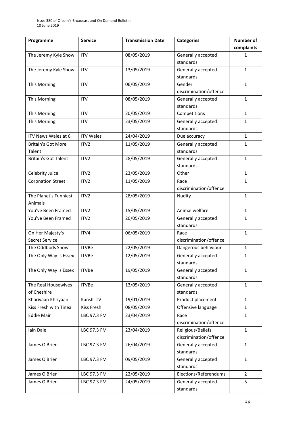| Programme                   | <b>Service</b>   | <b>Transmission Date</b> | <b>Categories</b>                       | <b>Number of</b> |  |
|-----------------------------|------------------|--------------------------|-----------------------------------------|------------------|--|
|                             |                  |                          |                                         | complaints       |  |
| The Jeremy Kyle Show        | <b>ITV</b>       | 08/05/2019               | Generally accepted                      | 1                |  |
|                             |                  |                          | standards                               |                  |  |
| The Jeremy Kyle Show        | <b>ITV</b>       | 13/05/2019               | Generally accepted                      | $\mathbf{1}$     |  |
|                             |                  |                          | standards                               |                  |  |
| This Morning                | <b>ITV</b>       | 06/05/2019               | Gender                                  | $\mathbf{1}$     |  |
|                             |                  |                          | discrimination/offence                  |                  |  |
| This Morning                | <b>ITV</b>       | 08/05/2019               | Generally accepted                      | $\mathbf{1}$     |  |
|                             |                  |                          | standards                               |                  |  |
| This Morning                | <b>ITV</b>       | 20/05/2019               | Competitions                            | $\mathbf{1}$     |  |
| This Morning                | <b>ITV</b>       | 23/05/2019               | Generally accepted                      | $\mathbf{1}$     |  |
|                             |                  |                          | standards                               |                  |  |
| ITV News Wales at 6         | <b>ITV Wales</b> | 24/04/2019               | Due accuracy                            | $\mathbf{1}$     |  |
| <b>Britain's Got More</b>   | ITV <sub>2</sub> | 11/05/2019               | Generally accepted                      | 1                |  |
| Talent                      |                  |                          | standards                               |                  |  |
| <b>Britain's Got Talent</b> | ITV <sub>2</sub> | 28/05/2019               | Generally accepted                      | $\mathbf{1}$     |  |
|                             |                  |                          | standards                               |                  |  |
| Celebrity Juice             | ITV <sub>2</sub> | 23/05/2019               | Other                                   | $\mathbf{1}$     |  |
| <b>Coronation Street</b>    | ITV <sub>2</sub> | 11/05/2019               | Race                                    | 1                |  |
|                             |                  |                          | discrimination/offence                  |                  |  |
| The Planet's Funniest       | ITV <sub>2</sub> | 28/05/2019               | $\mathbf{1}$<br>Nudity                  |                  |  |
| Animals                     |                  |                          |                                         |                  |  |
| You've Been Framed          | ITV <sub>2</sub> | 15/05/2019               | Animal welfare                          | $\mathbf{1}$     |  |
| You've Been Framed          | ITV <sub>2</sub> | 20/05/2019               | Generally accepted                      | $\mathbf{1}$     |  |
|                             |                  |                          | standards                               |                  |  |
| On Her Majesty's            | ITV4             | 06/05/2019               | Race                                    | 1                |  |
| Secret Service              |                  |                          | discrimination/offence                  |                  |  |
| The Oddbods Show            | <b>ITVBe</b>     | 22/05/2019               | Dangerous behaviour<br>$\mathbf{1}$     |                  |  |
| The Only Way Is Essex       | <b>ITVBe</b>     | 12/05/2019               | Generally accepted<br>$\mathbf{1}$      |                  |  |
|                             |                  |                          | standards                               |                  |  |
| The Only Way is Essex       | <b>ITVBe</b>     | 19/05/2019               | Generally accepted<br>1                 |                  |  |
|                             |                  |                          | standards                               |                  |  |
| The Real Housewives         | <b>ITVBe</b>     | 13/05/2019               | Generally accepted<br>$\mathbf{1}$      |                  |  |
| of Cheshire                 |                  |                          | standards                               |                  |  |
| Khariyaan Khriyaan          | Kanshi TV        | 19/01/2019               | Product placement<br>$\mathbf{1}$       |                  |  |
| Kiss Fresh with Tinea       | Kiss Fresh       | 08/05/2019               | Offensive language<br>$\mathbf{1}$      |                  |  |
| <b>Eddie Mair</b>           | LBC 97.3 FM      | 23/04/2019               | Race                                    | $\mathbf{1}$     |  |
|                             |                  |                          | discrimination/offence                  |                  |  |
| Iain Dale                   | LBC 97.3 FM      | 23/04/2019               | Religious/Beliefs                       | $\mathbf{1}$     |  |
|                             |                  |                          | discrimination/offence                  |                  |  |
| James O'Brien               | LBC 97.3 FM      | 26/04/2019               | Generally accepted                      | $\mathbf{1}$     |  |
|                             |                  |                          | standards                               |                  |  |
| James O'Brien               | LBC 97.3 FM      | 09/05/2019               | Generally accepted                      | $\mathbf{1}$     |  |
|                             |                  |                          | standards                               |                  |  |
| James O'Brien               | LBC 97.3 FM      | 22/05/2019               | Elections/Referendums<br>$\overline{2}$ |                  |  |
| James O'Brien               | LBC 97.3 FM      | 24/05/2019               | Generally accepted                      | 5                |  |
|                             |                  |                          | standards                               |                  |  |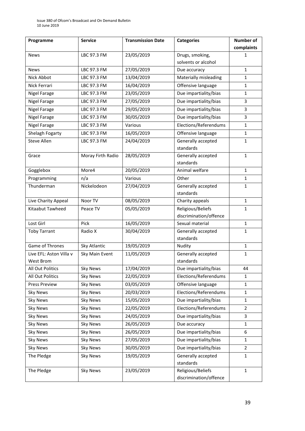| Programme               | <b>Service</b>     | <b>Transmission Date</b> | <b>Categories</b>                     | <b>Number of</b>                   |  |
|-------------------------|--------------------|--------------------------|---------------------------------------|------------------------------------|--|
|                         |                    |                          |                                       | complaints                         |  |
| <b>News</b>             | LBC 97.3 FM        | 23/05/2019               | Drugs, smoking,                       | 1                                  |  |
|                         |                    |                          | solvents or alcohol                   |                                    |  |
| <b>News</b>             | LBC 97.3 FM        | 27/05/2019               | Due accuracy                          | $\mathbf{1}$                       |  |
| Nick Abbot              | LBC 97.3 FM        | 13/04/2019               | Materially misleading                 | $\mathbf{1}$                       |  |
| Nick Ferrari            | LBC 97.3 FM        | 16/04/2019               | Offensive language                    | $\mathbf{1}$                       |  |
| <b>Nigel Farage</b>     | LBC 97.3 FM        | 23/05/2019               | Due impartiality/bias                 | $\mathbf{1}$                       |  |
| <b>Nigel Farage</b>     | LBC 97.3 FM        | 27/05/2019               | Due impartiality/bias                 | 3                                  |  |
| <b>Nigel Farage</b>     | LBC 97.3 FM        | 29/05/2019               | Due impartiality/bias                 | 3                                  |  |
| <b>Nigel Farage</b>     | LBC 97.3 FM        | 30/05/2019               | Due impartiality/bias                 | 3                                  |  |
| Nigel Farage            | LBC 97.3 FM        | Various                  | Elections/Referendums                 | $\mathbf{1}$                       |  |
| Shelagh Fogarty         | LBC 97.3 FM        | 16/05/2019               | Offensive language                    | $\mathbf{1}$                       |  |
| Steve Allen             | <b>LBC 97.3 FM</b> | 24/04/2019               | Generally accepted<br>standards       | $\mathbf{1}$                       |  |
| Grace                   | Moray Firth Radio  | 28/05/2019               | Generally accepted                    | $\mathbf{1}$                       |  |
|                         |                    |                          | standards                             |                                    |  |
| Gogglebox               | More4              | 20/05/2019               | Animal welfare                        | $\mathbf{1}$                       |  |
| Programming             | n/a                | Various                  | Other                                 | $\mathbf{1}$                       |  |
| Thunderman              | Nickelodeon        | 27/04/2019               | Generally accepted                    | $\mathbf{1}$                       |  |
|                         |                    |                          | standards                             |                                    |  |
| Live Charity Appeal     | Noor TV            | 08/05/2019               | Charity appeals                       | $\mathbf{1}$                       |  |
| Kitaabut Tawheed        | Peace TV           | 05/05/2019               | Religious/Beliefs                     | $\mathbf{1}$                       |  |
|                         |                    |                          | discrimination/offence                |                                    |  |
| Lost Girl               | Pick               | 16/05/2019               | Sexual material                       | $\mathbf{1}$                       |  |
| <b>Toby Tarrant</b>     | Radio X            | 30/04/2019               | Generally accepted<br>standards       | $\mathbf{1}$                       |  |
| Game of Thrones         | Sky Atlantic       | 19/05/2019               | Nudity                                | $\mathbf{1}$                       |  |
| Live EFL: Aston Villa v | Sky Main Event     | 11/05/2019               |                                       | $\mathbf{1}$<br>Generally accepted |  |
| West Brom               |                    |                          | standards                             |                                    |  |
| All Out Politics        | <b>Sky News</b>    | 17/04/2019               | Due impartiality/bias                 | 44                                 |  |
| All Out Politics        | <b>Sky News</b>    | 22/05/2019               | Elections/Referendums                 | 1                                  |  |
| <b>Press Preview</b>    | <b>Sky News</b>    | 03/05/2019               | Offensive language                    | $\mathbf{1}$                       |  |
| <b>Sky News</b>         | Sky News           | 20/03/2019               | Elections/Referendums                 | 1                                  |  |
| <b>Sky News</b>         | <b>Sky News</b>    | 15/05/2019               | Due impartiality/bias<br>$\mathbf{1}$ |                                    |  |
| <b>Sky News</b>         | <b>Sky News</b>    | 22/05/2019               | Elections/Referendums                 | $\overline{2}$                     |  |
| <b>Sky News</b>         | Sky News           | 24/05/2019               | Due impartiality/bias<br>3            |                                    |  |
| <b>Sky News</b>         | <b>Sky News</b>    | 26/05/2019               | Due accuracy                          | $\mathbf{1}$                       |  |
| <b>Sky News</b>         | <b>Sky News</b>    | 26/05/2019               | Due impartiality/bias                 | 6                                  |  |
| <b>Sky News</b>         | <b>Sky News</b>    | 27/05/2019               | Due impartiality/bias                 | $\mathbf 1$                        |  |
| <b>Sky News</b>         | <b>Sky News</b>    | 30/05/2019               | Due impartiality/bias                 | $\overline{2}$                     |  |
| The Pledge              | <b>Sky News</b>    | 19/05/2019               | Generally accepted<br>$\mathbf{1}$    |                                    |  |
|                         |                    |                          | standards                             |                                    |  |
| The Pledge              | <b>Sky News</b>    | 23/05/2019               | Religious/Beliefs                     | $\mathbf{1}$                       |  |
|                         |                    |                          | discrimination/offence                |                                    |  |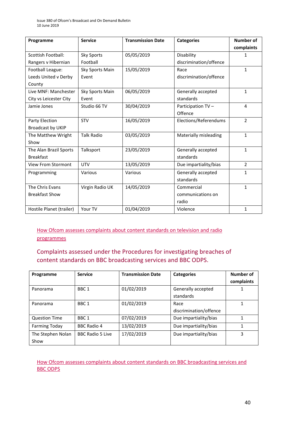| Programme                 | <b>Service</b>    | <b>Transmission Date</b> | <b>Categories</b>      | <b>Number of</b> |
|---------------------------|-------------------|--------------------------|------------------------|------------------|
|                           |                   |                          |                        | complaints       |
| Scottish Football:        | <b>Sky Sports</b> | 05/05/2019               | Disability             | 1                |
| Rangers v Hibernian       | Football          |                          | discrimination/offence |                  |
| Football League:          | Sky Sports Main   | 15/05/2019               | Race                   | $\mathbf{1}$     |
| Leeds United v Derby      | Event             |                          | discrimination/offence |                  |
| County                    |                   |                          |                        |                  |
| Live MNF: Manchester      | Sky Sports Main   | 06/05/2019               | Generally accepted     | $\mathbf{1}$     |
| City vs Leicester City    | Event             |                          | standards              |                  |
| Jamie Jones               | Studio 66 TV      | 30/04/2019               | Participation TV-      | 4                |
|                           |                   |                          | Offence                |                  |
| Party Election            | <b>STV</b>        | 16/05/2019               | Elections/Referendums  | $\overline{2}$   |
| Broadcast by UKIP         |                   |                          |                        |                  |
| The Matthew Wright        | <b>Talk Radio</b> | 03/05/2019               | Materially misleading  | $\mathbf{1}$     |
| Show                      |                   |                          |                        |                  |
| The Alan Brazil Sports    | Talksport         | 23/05/2019               | Generally accepted     | $\mathbf{1}$     |
| <b>Breakfast</b>          |                   |                          | standards              |                  |
| <b>View From Stormont</b> | <b>UTV</b>        | 13/05/2019               | Due impartiality/bias  | $\overline{2}$   |
| Programming               | Various           | Various                  | Generally accepted     | $\mathbf{1}$     |
|                           |                   |                          | standards              |                  |
| The Chris Evans           | Virgin Radio UK   | 14/05/2019               | Commercial             | $\mathbf{1}$     |
| <b>Breakfast Show</b>     |                   |                          | communications on      |                  |
|                           |                   |                          | radio                  |                  |
| Hostile Planet (trailer)  | Your TV           | 01/04/2019               | Violence               | $\mathbf{1}$     |

### [How Ofcom assesses complaints about content standards on television and radio](https://www.ofcom.org.uk/__data/assets/pdf_file/0020/55109/breaches-content-standards.pdf)  [programmes](https://www.ofcom.org.uk/__data/assets/pdf_file/0020/55109/breaches-content-standards.pdf)

### Complaints assessed under the Procedures for investigating breaches of content standards on BBC broadcasting services and BBC ODPS.

| Programme            | <b>Service</b>          | <b>Transmission Date</b> | <b>Categories</b>      | Number of  |
|----------------------|-------------------------|--------------------------|------------------------|------------|
|                      |                         |                          |                        | complaints |
| Panorama             | BBC <sub>1</sub>        | 01/02/2019               | Generally accepted     |            |
|                      |                         |                          | standards              |            |
| Panorama             | BBC <sub>1</sub>        | 01/02/2019               | Race                   |            |
|                      |                         |                          | discrimination/offence |            |
| <b>Question Time</b> | BBC <sub>1</sub>        | 07/02/2019               | Due impartiality/bias  |            |
| <b>Farming Today</b> | <b>BBC Radio 4</b>      | 13/02/2019               | Due impartiality/bias  |            |
| The Stephen Nolan    | <b>BBC Radio 5 Live</b> | 17/02/2019               | Due impartiality/bias  | 3          |
| Show                 |                         |                          |                        |            |

[How Ofcom assesses complaints about content standards](https://www.ofcom.org.uk/__data/assets/pdf_file/0002/100100/Procedures-for-investigating-breaches-of-content-standards-on-BBC-broadcasting-services-and-BBC-on-demand-programme-services.pdf) on BBC broadcasting services and [BBC ODPS](https://www.ofcom.org.uk/__data/assets/pdf_file/0002/100100/Procedures-for-investigating-breaches-of-content-standards-on-BBC-broadcasting-services-and-BBC-on-demand-programme-services.pdf)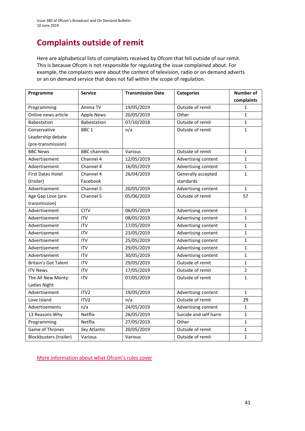# **Complaints outside of remit**

Here are alphabetical lists of complaints received by Ofcom that fell outside of our remit. This is because Ofcom is not responsible for regulating the issue complained about. For example, the complaints were about the content of television, radio or on demand adverts or an on demand service that does not fall within the scope of regulation.

| Programme                   | <b>Service</b>      | <b>Transmission Date</b> | <b>Categories</b>                   | <b>Number of</b> |
|-----------------------------|---------------------|--------------------------|-------------------------------------|------------------|
|                             |                     |                          |                                     | complaints       |
| Programming                 | Amma TV             | 19/05/2019               | Outside of remit                    | 1                |
| Online news article         | <b>Apple News</b>   | 20/05/2019               | Other                               | $\mathbf{1}$     |
| <b>Babestation</b>          | Babestation         | 07/10/2018               | Outside of remit                    | $\mathbf{1}$     |
| Conservative                | BBC <sub>1</sub>    | n/a                      | Outside of remit                    | $\mathbf{1}$     |
| Leadership debate           |                     |                          |                                     |                  |
| (pre-transmission)          |                     |                          |                                     |                  |
| <b>BBC News</b>             | <b>BBC</b> channels | Various                  | Outside of remit                    | $\mathbf{1}$     |
| Advertisement               | Channel 4           | 12/05/2019               | Advertising content                 | $\mathbf{1}$     |
| Advertisement               | Channel 4           | 16/05/2019               | Advertising content                 | $\mathbf{1}$     |
| <b>First Dates Hotel</b>    | Channel 4           | 26/04/2019               | Generally accepted                  | $\mathbf{1}$     |
| (trailer)                   | Facebook            |                          | standards                           |                  |
| Advertisement               | Channel 5           | 20/05/2019               | Advertising content                 | $\mathbf{1}$     |
| Age Gap Love (pre-          | Channel 5           | 05/06/2019               | Outside of remit                    | 57               |
| transmission)               |                     |                          |                                     |                  |
| Advertisement               | <b>CITV</b>         | 06/05/2019               | Advertising content                 | $\mathbf{1}$     |
| Advertisement               | <b>ITV</b>          | 08/05/2019               | Advertising content                 | $\mathbf{1}$     |
| Advertisement               | <b>ITV</b>          | 17/05/2019               | Advertising content                 | $\mathbf{1}$     |
| Advertisement               | <b>ITV</b>          | 23/05/2019               | Advertising content                 | $\mathbf{1}$     |
| Advertisement               | <b>ITV</b>          | 25/05/2019               | Advertising content<br>$\mathbf{1}$ |                  |
| Advertisement               | <b>ITV</b>          | 29/05/2019               | Advertising content                 | $\mathbf{1}$     |
| Advertisement               | <b>ITV</b>          | 30/05/2019               | Advertising content                 | $\mathbf{1}$     |
| <b>Britain's Got Talent</b> | <b>ITV</b>          | 29/05/2019               | Outside of remit                    | $\mathbf{1}$     |
| <b>ITV News</b>             | <b>ITV</b>          | 17/05/2019               | Outside of remit                    | $\overline{2}$   |
| The All New Monty:          | <b>ITV</b>          | 07/05/2019               | Outside of remit                    | $\mathbf{1}$     |
| Ladies Night                |                     |                          |                                     |                  |
| Advertisement               | ITV2                | 19/05/2019               | Advertising content                 | $\mathbf{1}$     |
| Love Island                 | ITV <sub>2</sub>    | n/a                      | Outside of remit                    | 29               |
| Advertisements              | n/a                 | 24/05/2019               | Advertising content                 | $\mathbf{1}$     |
| 13 Reasons Why              | Netflix             | 26/05/2019               | Suicide and self harm               | $\mathbf{1}$     |
| Programming                 | Netflix             | 27/05/2019               | Other                               | $\mathbf{1}$     |
| Game of Thrones             | Sky Atlantic        | 20/05/2019               | Outside of remit                    | $\mathbf{1}$     |
| Blockbusters (trailer)      | Various             | Various                  | Outside of remit                    | $\mathbf{1}$     |

M[ore information about what Ofcom's rules cover](https://www.ofcom.org.uk/tv-radio-and-on-demand/how-to-report-a-complaint/what-does-ofcom-cover)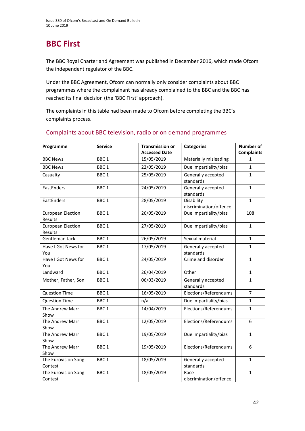# **BBC First**

The BBC Royal Charter and Agreement was published in December 2016, which made Ofcom the independent regulator of the BBC.

Under the BBC Agreement, Ofcom can normally only consider complaints about BBC programmes where the complainant has already complained to the BBC and the BBC has reached its final decision (the 'BBC First' approach).

The complaints in this table had been made to Ofcom before completing the BBC's complaints process.

| Programme                           | <b>Service</b>   | <b>Transmission or</b> | <b>Categories</b>      | <b>Number of</b>  |
|-------------------------------------|------------------|------------------------|------------------------|-------------------|
|                                     |                  | <b>Accessed Date</b>   |                        | <b>Complaints</b> |
| <b>BBC News</b>                     | BBC <sub>1</sub> | 15/05/2019             | Materially misleading  | 1                 |
| <b>BBC News</b>                     | BBC <sub>1</sub> | 22/05/2019             | Due impartiality/bias  | $\mathbf{1}$      |
| Casualty                            | BBC <sub>1</sub> | 25/05/2019             | Generally accepted     | $\mathbf{1}$      |
|                                     |                  |                        | standards              |                   |
| EastEnders                          | BBC <sub>1</sub> | 24/05/2019             | Generally accepted     | $\mathbf{1}$      |
|                                     |                  |                        | standards              |                   |
| EastEnders                          | BBC <sub>1</sub> | 28/05/2019             | Disability             | $\mathbf{1}$      |
|                                     |                  |                        | discrimination/offence |                   |
| <b>European Election</b>            | BBC <sub>1</sub> | 26/05/2019             | Due impartiality/bias  | 108               |
| Results                             |                  |                        |                        |                   |
| <b>European Election</b><br>Results | BBC <sub>1</sub> | 27/05/2019             | Due impartiality/bias  | $\mathbf{1}$      |
| Gentleman Jack                      | BBC <sub>1</sub> | 26/05/2019             | Sexual material        | $\mathbf{1}$      |
| Have I Got News for                 | BBC <sub>1</sub> | 17/05/2019             | Generally accepted     | $\mathbf{1}$      |
| You                                 |                  |                        | standards              |                   |
| Have I Got News for                 | BBC <sub>1</sub> | 24/05/2019             | Crime and disorder     | $\mathbf{1}$      |
| You                                 |                  |                        |                        |                   |
| Landward                            | BBC <sub>1</sub> | 26/04/2019             | Other                  | $\mathbf{1}$      |
| Mother, Father, Son                 | BBC <sub>1</sub> | 06/03/2019             | Generally accepted     | $\mathbf{1}$      |
|                                     |                  |                        | standards              |                   |
| Question Time                       | BBC <sub>1</sub> | 16/05/2019             | Elections/Referendums  | $\overline{7}$    |
| <b>Question Time</b>                | BBC <sub>1</sub> | n/a                    | Due impartiality/bias  | $\mathbf{1}$      |
| The Andrew Marr                     | BBC <sub>1</sub> | 14/04/2019             | Elections/Referendums  | $\mathbf{1}$      |
| Show                                |                  |                        |                        |                   |
| The Andrew Marr                     | BBC <sub>1</sub> | 12/05/2019             | Elections/Referendums  | 6                 |
| Show                                |                  |                        |                        |                   |
| The Andrew Marr                     | BBC <sub>1</sub> | 19/05/2019             | Due impartiality/bias  | $\mathbf{1}$      |
| Show                                |                  |                        |                        |                   |
| The Andrew Marr                     | BBC <sub>1</sub> | 19/05/2019             | Elections/Referendums  | 6                 |
| Show                                |                  |                        |                        |                   |
| The Eurovision Song                 | BBC <sub>1</sub> | 18/05/2019             | Generally accepted     | $\mathbf{1}$      |
| Contest                             |                  |                        | standards              |                   |
| The Eurovision Song                 | BBC <sub>1</sub> | 18/05/2019             | Race                   | $\mathbf{1}$      |
| Contest                             |                  |                        | discrimination/offence |                   |

### Complaints about BBC television, radio or on demand programmes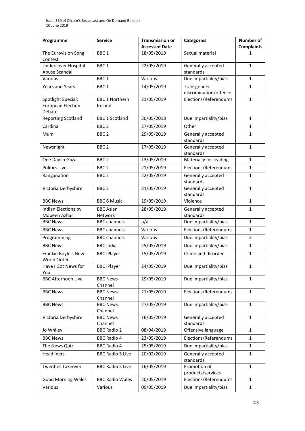| Programme                                                | <b>Service</b>                   | <b>Transmission or</b><br><b>Accessed Date</b> | <b>Categories</b>                       | Number of<br><b>Complaints</b> |
|----------------------------------------------------------|----------------------------------|------------------------------------------------|-----------------------------------------|--------------------------------|
| The Eurovision Song<br>Contest                           | BBC <sub>1</sub>                 | 18/05/2019                                     | Sexual material                         | 1                              |
| Undercover Hospital<br>Abuse Scandal                     | BBC <sub>1</sub>                 | 22/05/2019                                     | Generally accepted<br>standards         | $\mathbf{1}$                   |
| Various                                                  | BBC <sub>1</sub>                 | Various                                        | Due impartiality/bias                   | $\mathbf{1}$                   |
| <b>Years and Years</b>                                   | BBC <sub>1</sub>                 | 14/05/2019                                     | Transgender<br>discrimination/offence   | 1                              |
| Spotlight Special:<br><b>European Election</b><br>Debate | <b>BBC 1 Northern</b><br>Ireland | 21/05/2019                                     | Elections/Referendums                   | $\mathbf{1}$                   |
| <b>Reporting Scotland</b>                                | <b>BBC 1 Scotland</b>            | 30/05/2018                                     | Due impartiality/bias                   | $\mathbf{1}$                   |
| Cardinal                                                 | BBC <sub>2</sub>                 | 27/05/2019                                     | Other                                   | 1                              |
| Mum                                                      | BBC <sub>2</sub>                 | 29/05/2019                                     | Generally accepted<br>standards         | 1                              |
| Newsnight                                                | BBC <sub>2</sub>                 | 17/05/2019                                     | Generally accepted<br>standards         | 1                              |
| One Day in Gaza                                          | BBC <sub>2</sub>                 | 13/05/2019                                     | Materially misleading                   | $\mathbf{1}$                   |
| <b>Politics Live</b>                                     | BBC <sub>2</sub>                 | 21/05/2019                                     | Elections/Referendums                   | 1                              |
| Ranganation                                              | BBC <sub>2</sub>                 | 22/05/2019                                     | Generally accepted<br>standards         | $\mathbf{1}$                   |
| Victoria Derbyshire                                      | BBC <sub>2</sub>                 | 31/05/2019                                     | Generally accepted<br>standards         | $\mathbf{1}$                   |
| <b>BBC News</b>                                          | <b>BBC 6 Music</b>               | 19/05/2019                                     | Violence<br>$\mathbf{1}$                |                                |
| Indian Elections by<br>Mobeen Azhar                      | <b>BBC Asian</b><br>Network      | 28/05/2019                                     | Generally accepted<br>standards         | 1                              |
| <b>BBC News</b>                                          | <b>BBC</b> channels              | n/a                                            | Due impartiality/bias<br>1              |                                |
| <b>BBC News</b>                                          | <b>BBC</b> channels              | Various                                        | Elections/Referendums<br>1              |                                |
| Programming                                              | <b>BBC</b> channels              | Various                                        | Due impartiality/bias<br>$\overline{2}$ |                                |
| <b>BBC News</b>                                          | <b>BBC</b> India                 | 25/05/2019                                     | Due impartiality/bias<br>1              |                                |
| Frankie Boyle's New<br>World Order                       | <b>BBC</b> iPlayer               | 15/05/2019                                     | Crime and disorder                      | 1                              |
| Have I Got News for<br>You                               | <b>BBC iPlayer</b>               | 24/05/2019                                     | Due impartiality/bias                   | $\mathbf 1$                    |
| <b>BBC Afternoon Live</b>                                | <b>BBC News</b><br>Channel       | 29/05/2019                                     | Due impartiality/bias                   | 1                              |
| <b>BBC News</b>                                          | <b>BBC News</b><br>Channel       | 21/05/2019                                     | Elections/Referendums                   | $\mathbf{1}$                   |
| <b>BBC News</b>                                          | <b>BBC News</b><br>Channel       | 27/05/2019                                     | Due impartiality/bias                   | $\mathbf{1}$                   |
| Victoria Derbyshire                                      | <b>BBC News</b><br>Channel       | 16/05/2019                                     | Generally accepted<br>standards         | 1                              |
| Jo Whiley                                                | <b>BBC Radio 2</b>               | 08/04/2019                                     | Offensive language                      | $\mathbf{1}$                   |
| <b>BBC News</b>                                          | <b>BBC Radio 4</b>               | 23/05/2019                                     | Elections/Referendums<br>1              |                                |
| The News Quiz                                            | <b>BBC Radio 4</b>               | 25/05/2019                                     | Due impartiality/bias                   | 1                              |
| <b>Headliners</b>                                        | <b>BBC Radio 5 Live</b>          | 20/02/2019                                     | Generally accepted<br>standards         | 1                              |
| <b>Twenties Takeover</b>                                 | <b>BBC Radio 5 Live</b>          | 16/05/2019                                     | Promotion of<br>1<br>products/services  |                                |
| <b>Good Morning Wales</b>                                | <b>BBC Radio Wales</b>           | 20/05/2019                                     | Elections/Referendums                   | 1                              |
| Various                                                  | Various                          | 09/05/2019                                     | Due impartiality/bias                   | $\mathbf{1}$                   |